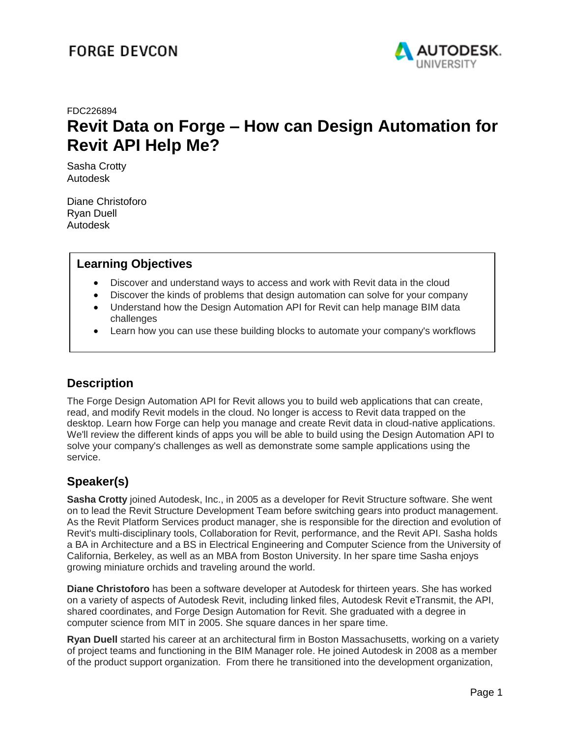

#### FDC226894

# **Revit Data on Forge – How can Design Automation for Revit API Help Me?**

Sasha Crotty Autodesk

Diane Christoforo Ryan Duell Autodesk

### **Learning Objectives**

- Discover and understand ways to access and work with Revit data in the cloud
- Discover the kinds of problems that design automation can solve for your company
- Understand how the Design Automation API for Revit can help manage BIM data challenges
- Learn how you can use these building blocks to automate your company's workflows

### **Description**

The Forge Design Automation API for Revit allows you to build web applications that can create, read, and modify Revit models in the cloud. No longer is access to Revit data trapped on the desktop. Learn how Forge can help you manage and create Revit data in cloud-native applications. We'll review the different kinds of apps you will be able to build using the Design Automation API to solve your company's challenges as well as demonstrate some sample applications using the service.

### **Speaker(s)**

**Sasha Crotty** joined Autodesk, Inc., in 2005 as a developer for Revit Structure software. She went on to lead the Revit Structure Development Team before switching gears into product management. As the Revit Platform Services product manager, she is responsible for the direction and evolution of Revit's multi-disciplinary tools, Collaboration for Revit, performance, and the Revit API. Sasha holds a BA in Architecture and a BS in Electrical Engineering and Computer Science from the University of California, Berkeley, as well as an MBA from Boston University. In her spare time Sasha enjoys growing miniature orchids and traveling around the world.

**Diane Christoforo** has been a software developer at Autodesk for thirteen years. She has worked on a variety of aspects of Autodesk Revit, including linked files, Autodesk Revit eTransmit, the API, shared coordinates, and Forge Design Automation for Revit. She graduated with a degree in computer science from MIT in 2005. She square dances in her spare time.

**Ryan Duell** started his career at an architectural firm in Boston Massachusetts, working on a variety of project teams and functioning in the BIM Manager role. He joined Autodesk in 2008 as a member of the product support organization. From there he transitioned into the development organization,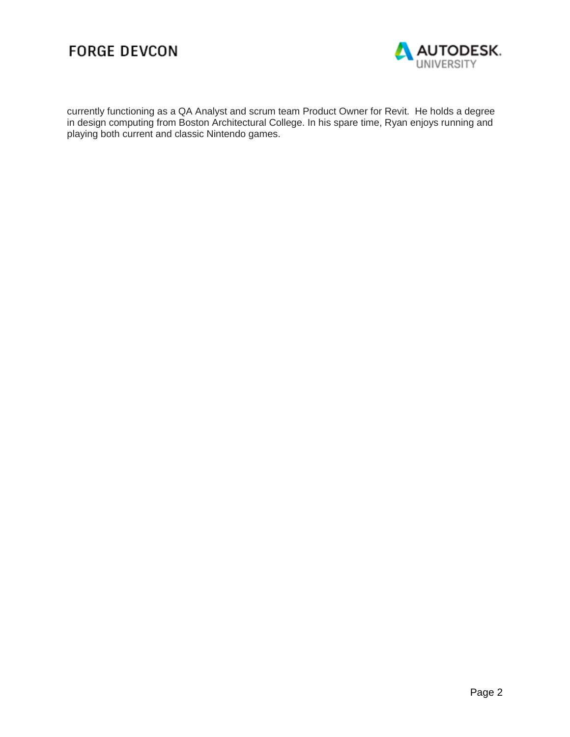

currently functioning as a QA Analyst and scrum team Product Owner for Revit. He holds a degree in design computing from Boston Architectural College. In his spare time, Ryan enjoys running and playing both current and classic Nintendo games.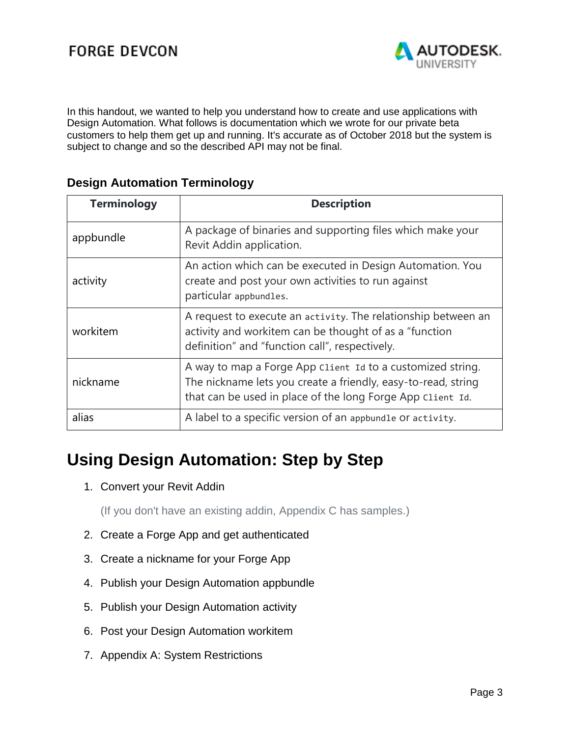

In this handout, we wanted to help you understand how to create and use applications with Design Automation. What follows is documentation which we wrote for our private beta customers to help them get up and running. It's accurate as of October 2018 but the system is subject to change and so the described API may not be final.

| <b>Terminology</b> | <b>Description</b>                                                                                                                                                                        |
|--------------------|-------------------------------------------------------------------------------------------------------------------------------------------------------------------------------------------|
| appbundle          | A package of binaries and supporting files which make your<br>Revit Addin application.                                                                                                    |
| activity           | An action which can be executed in Design Automation. You<br>create and post your own activities to run against<br>particular appbundles.                                                 |
| workitem           | A request to execute an activity. The relationship between an<br>activity and workitem can be thought of as a "function<br>definition" and "function call", respectively.                 |
| nickname           | A way to map a Forge App Client Id to a customized string.<br>The nickname lets you create a friendly, easy-to-read, string<br>that can be used in place of the long Forge App Client Id. |
| alias              | A label to a specific version of an appoundle or activity.                                                                                                                                |

### **Design Automation Terminology**

# **Using Design Automation: Step by Step**

1. Convert your Revit Addin

(If you don't have an existing addin, Appendix C has samples.)

- 2. Create a Forge App and get authenticated
- 3. Create a nickname for your Forge App
- 4. Publish your Design Automation appbundle
- 5. Publish your Design Automation activity
- 6. Post your Design Automation workitem
- 7. Appendix A: System Restrictions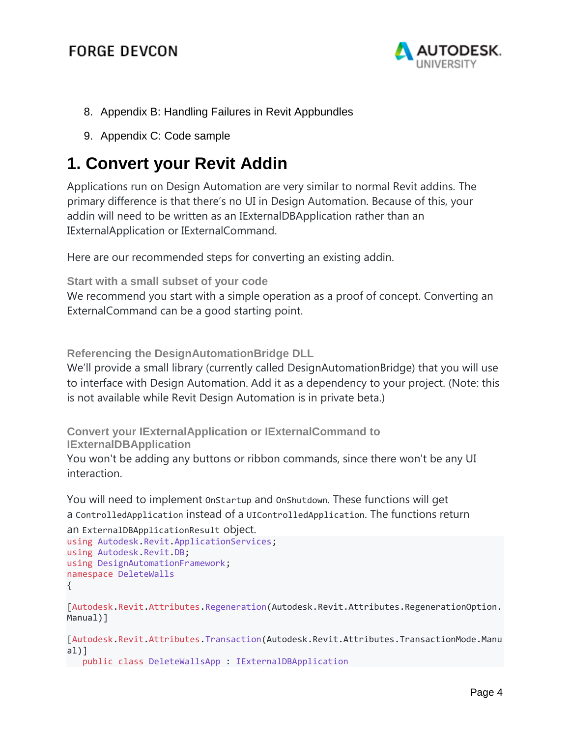

- 8. Appendix B: Handling Failures in Revit Appbundles
- 9. Appendix C: Code sample

# **1. Convert your Revit Addin**

Applications run on Design Automation are very similar to normal Revit addins. The primary difference is that there's no UI in Design Automation. Because of this, your addin will need to be written as an IExternalDBApplication rather than an IExternalApplication or IExternalCommand.

Here are our recommended steps for converting an existing addin.

**Start with a small subset of your code**

We recommend you start with a simple operation as a proof of concept. Converting an ExternalCommand can be a good starting point.

**Referencing the DesignAutomationBridge DLL**

We'll provide a small library (currently called DesignAutomationBridge) that you will use to interface with Design Automation. Add it as a dependency to your project. (Note: this is not available while Revit Design Automation is in private beta.)

**Convert your IExternalApplication or IExternalCommand to IExternalDBApplication**

You won't be adding any buttons or ribbon commands, since there won't be any UI interaction.

You will need to implement onstartup and onshutdown. These functions will get a ControlledApplication instead of a UIControlledApplication. The functions return

```
an ExternalDBApplicationResult object.
using Autodesk.Revit.ApplicationServices;
using Autodesk.Revit.DB;
using DesignAutomationFramework;
```
namespace DeleteWalls {

[Autodesk.Revit.Attributes.Regeneration(Autodesk.Revit.Attributes.RegenerationOption. Manual)]

[Autodesk.Revit.Attributes.Transaction(Autodesk.Revit.Attributes.TransactionMode.Manu al)]

public class DeleteWallsApp : IExternalDBApplication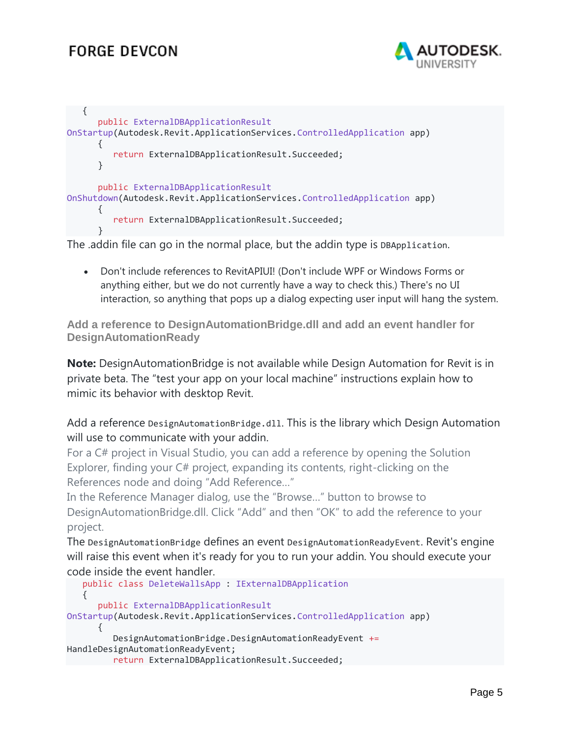

```
 {
       public ExternalDBApplicationResult
OnStartup(Autodesk.Revit.ApplicationServices.ControlledApplication app)
       {
          return ExternalDBApplicationResult.Succeeded;
       }
       public ExternalDBApplicationResult
OnShutdown(Autodesk.Revit.ApplicationServices.ControlledApplication app)
       {
          return ExternalDBApplicationResult.Succeeded;
       }
```
The .addin file can go in the normal place, but the addin type is DBApplication.

• Don't include references to RevitAPIUI! (Don't include WPF or Windows Forms or anything either, but we do not currently have a way to check this.) There's no UI interaction, so anything that pops up a dialog expecting user input will hang the system.

**Add a reference to DesignAutomationBridge.dll and add an event handler for DesignAutomationReady**

**Note:** DesignAutomationBridge is not available while Design Automation for Revit is in private beta. The "test your app on your local machine" instructions explain how to mimic its behavior with desktop Revit.

Add a reference DesignAutomationBridge.dll. This is the library which Design Automation will use to communicate with your addin.

For a C# project in Visual Studio, you can add a reference by opening the Solution Explorer, finding your  $C#$  project, expanding its contents, right-clicking on the References node and doing "Add Reference…"

In the Reference Manager dialog, use the "Browse…" button to browse to DesignAutomationBridge.dll. Click "Add" and then "OK" to add the reference to your project.

The DesignAutomationBridge defines an event DesignAutomationReadyEvent. Revit's engine will raise this event when it's ready for you to run your addin. You should execute your code inside the event handler.

```
 public class DeleteWallsApp : IExternalDBApplication
    {
       public ExternalDBApplicationResult
OnStartup(Autodesk.Revit.ApplicationServices.ControlledApplication app)
       {
          DesignAutomationBridge.DesignAutomationReadyEvent +=
HandleDesignAutomationReadyEvent;
          return ExternalDBApplicationResult.Succeeded;
```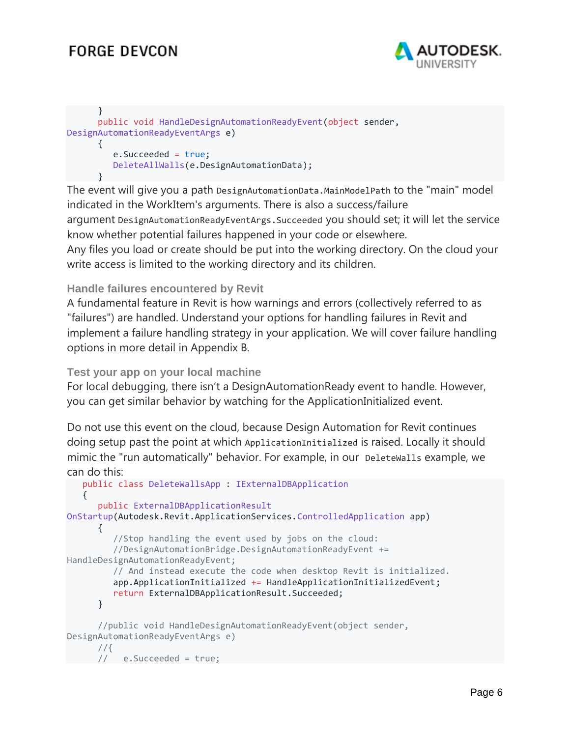

```
 } 
       public void HandleDesignAutomationReadyEvent(object sender, 
DesignAutomationReadyEventArgs e)
       {
          e.Succeeded = true;
          DeleteAllWalls(e.DesignAutomationData);
       }
```
The event will give you a path DesignAutomationData.MainModelPath to the "main" model indicated in the WorkItem's arguments. There is also a success/failure

argument DesignAutomationReadyEventArgs.Succeeded you should set; it will let the service know whether potential failures happened in your code or elsewhere.

Any files you load or create should be put into the working directory. On the cloud your write access is limited to the working directory and its children.

### **Handle failures encountered by Revit**

A fundamental feature in Revit is how warnings and errors (collectively referred to as "failures") are handled. Understand your options for handling failures in Revit and implement a failure handling strategy in your application. We will cover failure handling options in more detail in Appendix B.

**Test your app on your local machine**

For local debugging, there isn't a DesignAutomationReady event to handle. However, you can get similar behavior by watching for the ApplicationInitialized event.

Do not use this event on the cloud, because Design Automation for Revit continues doing setup past the point at which ApplicationInitialized is raised. Locally it should mimic the "run automatically" behavior. For example, in our DeleteWalls example, we can do this:

```
 public class DeleteWallsApp : IExternalDBApplication
    {
       public ExternalDBApplicationResult
OnStartup(Autodesk.Revit.ApplicationServices.ControlledApplication app)
       {
          //Stop handling the event used by jobs on the cloud:
          //DesignAutomationBridge.DesignAutomationReadyEvent += 
HandleDesignAutomationReadyEvent;
          // And instead execute the code when desktop Revit is initialized.
          app.ApplicationInitialized += HandleApplicationInitializedEvent;
          return ExternalDBApplicationResult.Succeeded;
       }
       //public void HandleDesignAutomationReadyEvent(object sender, 
DesignAutomationReadyEventArgs e)
      //{
```

```
 // e.Succeeded = true;
```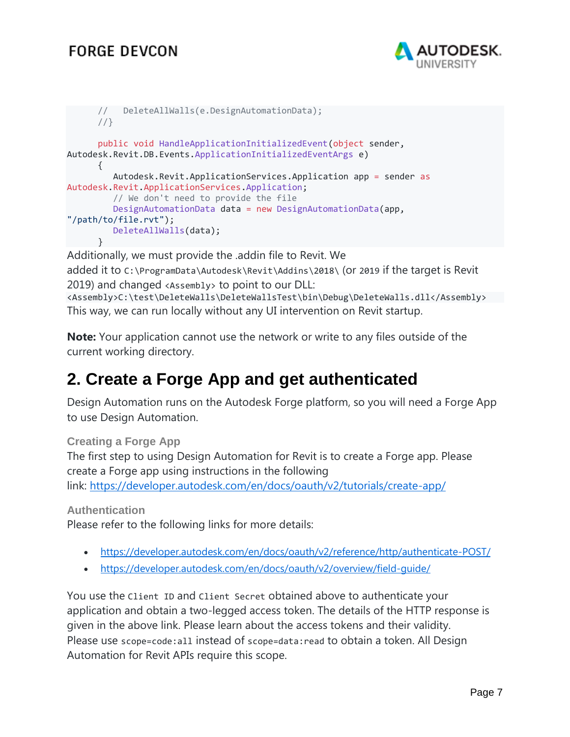

```
 // DeleteAllWalls(e.DesignAutomationData);
       //}
       public void HandleApplicationInitializedEvent(object sender, 
Autodesk.Revit.DB.Events.ApplicationInitializedEventArgs e)
       {
          Autodesk.Revit.ApplicationServices.Application app = sender as
Autodesk.Revit.ApplicationServices.Application;
         // We don't need to provide the file
          DesignAutomationData data = new DesignAutomationData(app, 
"/path/to/file.rvt");
          DeleteAllWalls(data);
       }
```
Additionally, we must provide the .addin file to Revit. We

added it to C:\ProgramData\Autodesk\Revit\Addins\2018\ (or 2019 if the target is Revit 2019) and changed <Assembly> to point to our DLL: <Assembly>C:\test\DeleteWalls\DeleteWallsTest\bin\Debug\DeleteWalls.dll</Assembly>

This way, we can run locally without any UI intervention on Revit startup.

**Note:** Your application cannot use the network or write to any files outside of the current working directory.

# **2. Create a Forge App and get authenticated**

Design Automation runs on the Autodesk Forge platform, so you will need a Forge App to use Design Automation.

**Creating a Forge App**

The first step to using Design Automation for Revit is to create a Forge app. Please create a Forge app using instructions in the following

link: <https://developer.autodesk.com/en/docs/oauth/v2/tutorials/create-app/>

**Authentication**

Please refer to the following links for more details:

- <https://developer.autodesk.com/en/docs/oauth/v2/reference/http/authenticate-POST/>
- https://developer.autodesk.com/en/docs/oauth/v2/overview/field-quide/

You use the Client ID and Client Secret obtained above to authenticate your application and obtain a two-legged access token. The details of the HTTP response is given in the above link. Please learn about the access tokens and their validity. Please use scope=code:all instead of scope=data:read to obtain a token. All Design Automation for Revit APIs require this scope.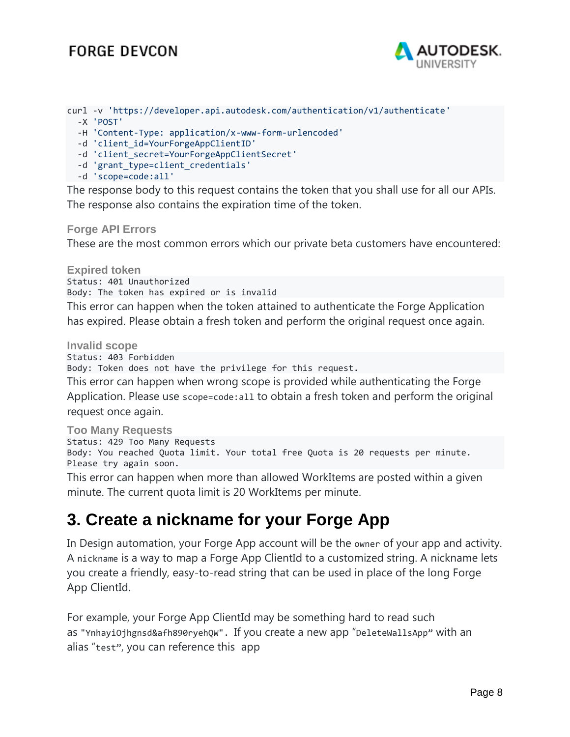

```
curl -v 'https://developer.api.autodesk.com/authentication/v1/authenticate'
```
- -X 'POST'
- -H 'Content-Type: application/x-www-form-urlencoded'
- -d 'client\_id=YourForgeAppClientID'
- -d 'client\_secret=YourForgeAppClientSecret'
- -d 'grant type=client credentials'
- -d 'scope=code:all'

The response body to this request contains the token that you shall use for all our APIs. The response also contains the expiration time of the token.

**Forge API Errors**

These are the most common errors which our private beta customers have encountered:

**Expired token** Status: 401 Unauthorized Body: The token has expired or is invalid

This error can happen when the token attained to authenticate the Forge Application has expired. Please obtain a fresh token and perform the original request once again.

**Invalid scope** Status: 403 Forbidden Body: Token does not have the privilege for this request. This error can happen when wrong scope is provided while authenticating the Forge Application. Please use scope=code:all to obtain a fresh token and perform the original request once again.

**Too Many Requests** Status: 429 Too Many Requests Body: You reached Quota limit. Your total free Quota is 20 requests per minute. Please try again soon.

This error can happen when more than allowed WorkItems are posted within a given minute. The current quota limit is 20 WorkItems per minute.

# **3. Create a nickname for your Forge App**

In Design automation, your Forge App account will be the owner of your app and activity. A nickname is a way to map a Forge App ClientId to a customized string. A nickname lets you create a friendly, easy-to-read string that can be used in place of the long Forge App ClientId.

For example, your Forge App ClientId may be something hard to read such as "YnhayiOjhgnsd&afh890ryehQW". If you create a new app "DeleteWallsApp" with an alias "test", you can reference this app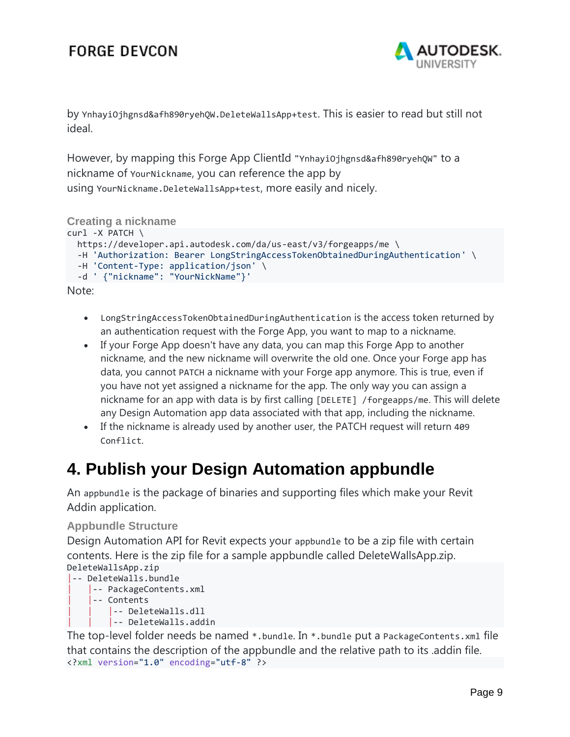

by YnhayiOjhgnsd&afh890ryehQW.DeleteWallsApp+test. This is easier to read but still not ideal.

However, by mapping this Forge App ClientId "YnhayiOjhgnsd&afh890ryehQW" to a nickname of YourNickname, you can reference the app by using YourNickname.DeleteWallsApp+test, more easily and nicely.

```
Creating a nickname
```

```
curl -X PATCH \
  https://developer.api.autodesk.com/da/us-east/v3/forgeapps/me \
   -H 'Authorization: Bearer LongStringAccessTokenObtainedDuringAuthentication' \
   -H 'Content-Type: application/json' \
  -d ' {"nickname": "YourNickName"}'
```
Note:

- LongStringAccessTokenObtainedDuringAuthentication is the access token returned by an authentication request with the Forge App, you want to map to a nickname.
- If your Forge App doesn't have any data, you can map this Forge App to another nickname, and the new nickname will overwrite the old one. Once your Forge app has data, you cannot PATCH a nickname with your Forge app anymore. This is true, even if you have not yet assigned a nickname for the app. The only way you can assign a nickname for an app with data is by first calling [DELETE] /forgeapps/me. This will delete any Design Automation app data associated with that app, including the nickname.
- If the nickname is already used by another user, the PATCH request will return 409 Conflict.

# **4. Publish your Design Automation appbundle**

An appbundle is the package of binaries and supporting files which make your Revit Addin application.

### **Appbundle Structure**

Design Automation API for Revit expects your appbundle to be a zip file with certain contents. Here is the zip file for a sample appbundle called DeleteWallsApp.zip. DeleteWallsApp.zip

```
|-- DeleteWalls.bundle
```

```
|-- PackageContents.xml
```

```
-- Contents
```
- |-- DeleteWalls.dll
- |-- DeleteWalls.addin

The top-level folder needs be named \*.bundle. In \*.bundle put a PackageContents.xml file that contains the description of the appbundle and the relative path to its .addin file. <?xml version="1.0" encoding="utf-8" ?>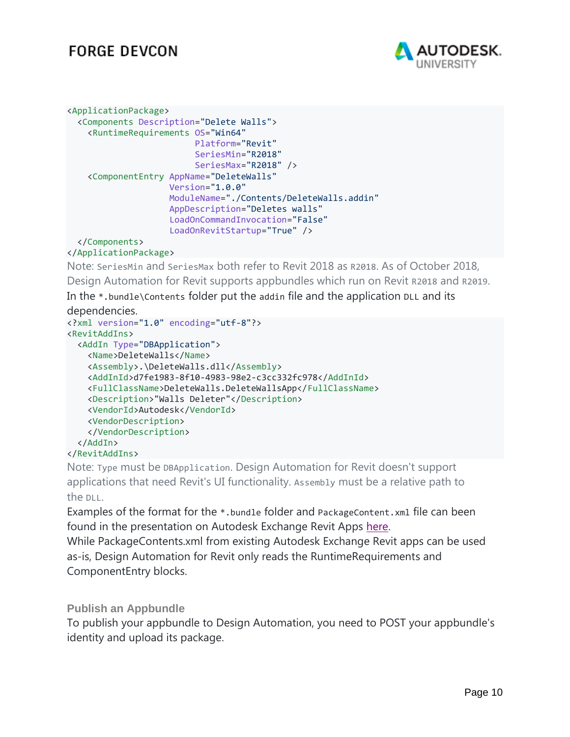

```
<ApplicationPackage>
   <Components Description="Delete Walls">
     <RuntimeRequirements OS="Win64"
                           Platform="Revit"
                           SeriesMin="R2018"
                           SeriesMax="R2018" />
     <ComponentEntry AppName="DeleteWalls"
                     Version="1.0.0"
                     ModuleName="./Contents/DeleteWalls.addin"
                      AppDescription="Deletes walls"
                      LoadOnCommandInvocation="False"
                      LoadOnRevitStartup="True" />
```
 </Components> </ApplicationPackage>

Note: SeriesMin and SeriesMax both refer to Revit 2018 as R2018. As of October 2018, Design Automation for Revit supports appbundles which run on Revit R2018 and R2019.

```
In the *.bundle\Contents folder put the addin file and the application DLL and its 
dependencies.
```

```
<?xml version="1.0" encoding="utf-8"?>
<RevitAddIns>
  <AddIn Type="DBApplication">
    <Name>DeleteWalls</Name>
    <Assembly>.\DeleteWalls.dll</Assembly>
    <AddInId>d7fe1983-8f10-4983-98e2-c3cc332fc978</AddInId>
    <FullClassName>DeleteWalls.DeleteWallsApp</FullClassName>
    <Description>"Walls Deleter"</Description>
    <VendorId>Autodesk</VendorId>
    <VendorDescription>
    </VendorDescription>
  </AddIn>
```

```
</RevitAddIns>
```
Note: Type must be DBApplication. Design Automation for Revit doesn't support applications that need Revit's UI functionality. Assembly must be a relative path to the DLL.

Examples of the format for the \*.bundle folder and PackageContent.xml file can been found in the presentation on Autodesk Exchange Revit Apps [here.](http://adndevblog.typepad.com/aec/ExchangeStorePublisher/3%20Autodesk%20Exchange%20Publish%20Revit%20Apps%20-%20Preparing%20Apps%20for%20the%20Store_Guidelines.pptx)

While PackageContents.xml from existing Autodesk Exchange Revit apps can be used as-is, Design Automation for Revit only reads the RuntimeRequirements and ComponentEntry blocks.

**Publish an Appbundle**

To publish your appbundle to Design Automation, you need to POST your appbundle's identity and upload its package.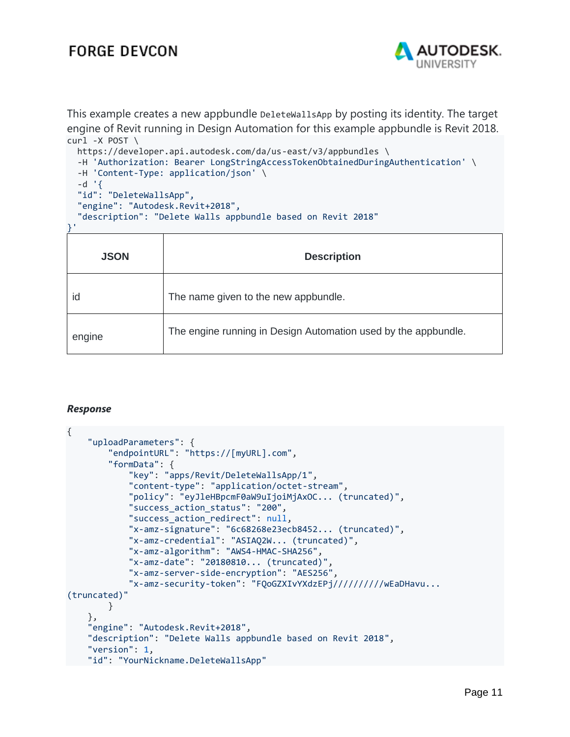

This example creates a new appbundle DeleteWallsApp by posting its identity. The target engine of Revit running in Design Automation for this example appbundle is Revit 2018. curl -X POST \

```
 https://developer.api.autodesk.com/da/us-east/v3/appbundles \
 -H 'Authorization: Bearer LongStringAccessTokenObtainedDuringAuthentication' \
 -H 'Content-Type: application/json' \
-d \{ "id": "DeleteWallsApp",
 "engine": "Autodesk.Revit+2018",
 "description": "Delete Walls appbundle based on Revit 2018"
```
#### }'

| <b>JSON</b> | <b>Description</b>                                             |
|-------------|----------------------------------------------------------------|
| id          | The name given to the new appbundle.                           |
| engine      | The engine running in Design Automation used by the appbundle. |

#### *Response*

```
{
     "uploadParameters": {
         "endpointURL": "https://[myURL].com",
         "formData": {
             "key": "apps/Revit/DeleteWallsApp/1",
             "content-type": "application/octet-stream",
             "policy": "eyJleHBpcmF0aW9uIjoiMjAxOC... (truncated)",
             "success_action_status": "200",
             "success_action_redirect": null,
 "x-amz-signature": "6c68268e23ecb8452... (truncated)",
 "x-amz-credential": "ASIAQ2W... (truncated)",
             "x-amz-algorithm": "AWS4-HMAC-SHA256",
             "x-amz-date": "20180810... (truncated)",
             "x-amz-server-side-encryption": "AES256",
             "x-amz-security-token": "FQoGZXIvYXdzEPj//////////wEaDHavu... 
(truncated)"
         }
     },
     "engine": "Autodesk.Revit+2018",
     "description": "Delete Walls appbundle based on Revit 2018",
     "version": 1,
    "id": "YourNickname.DeleteWallsApp"
```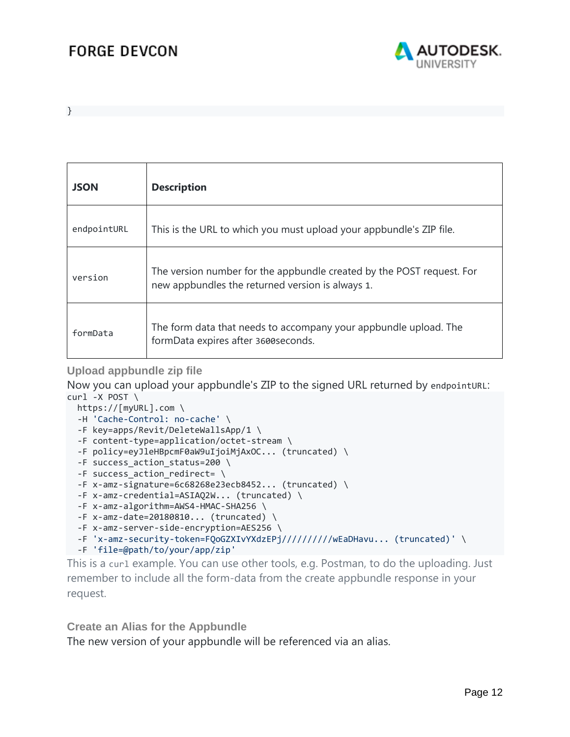

}

| <b>JSON</b> | <b>Description</b>                                                                                                        |
|-------------|---------------------------------------------------------------------------------------------------------------------------|
| endpointURL | This is the URL to which you must upload your appbundle's ZIP file.                                                       |
| version     | The version number for the appbundle created by the POST request. For<br>new appbundles the returned version is always 1. |
| formData    | The form data that needs to accompany your appbundle upload. The<br>formData expires after 3600seconds.                   |

### **Upload appbundle zip file**

Now you can upload your appbundle's ZIP to the signed URL returned by endpointURL: curl -X POST \

```
 https://[myURL].com \
 -H 'Cache-Control: no-cache' \
 -F key=apps/Revit/DeleteWallsApp/1 \
 -F content-type=application/octet-stream \
 -F policy=eyJleHBpcmF0aW9uIjoiMjAxOC... (truncated) \
-F success action status=200 \
 -F success_action_redirect= \
 -F x-amz-signature=6c68268e23ecb8452... (truncated) \
 -F x-amz-credential=ASIAQ2W... (truncated) \
 -F x-amz-algorithm=AWS4-HMAC-SHA256 \
 -F x-amz-date=20180810... (truncated) \
 -F x-amz-server-side-encryption=AES256 \
-F 'x-amz-security-token=FQoGZXIvYXdzEPj/////////wEaDHavu... (truncated)' \
 -F 'file=@path/to/your/app/zip'
```
This is a curl example. You can use other tools, e.g. Postman, to do the uploading. Just remember to include all the form-data from the create appbundle response in your request.

**Create an Alias for the Appbundle**

The new version of your appbundle will be referenced via an alias.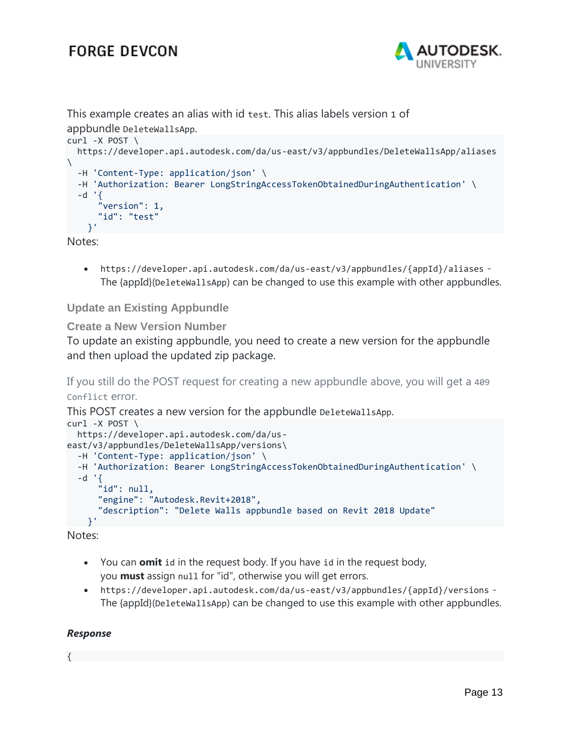

This example creates an alias with id test. This alias labels version 1 of

appbundle DeleteWallsApp.

```
curl -X POST \
  https://developer.api.autodesk.com/da/us-east/v3/appbundles/DeleteWallsApp/aliases 
\
   -H 'Content-Type: application/json' \
   -H 'Authorization: Bearer LongStringAccessTokenObtainedDuringAuthentication' \
  -d \{ "version": 1,
       "id": "test"
     }'
```
Notes:

• https://developer.api.autodesk.com/da/us-east/v3/appbundles/{appId}/aliases - The {appId}(DeleteWallsApp) can be changed to use this example with other appbundles.

**Update an Existing Appbundle**

**Create a New Version Number**

To update an existing appbundle, you need to create a new version for the appbundle and then upload the updated zip package.

If you still do the POST request for creating a new appbundle above, you will get a 409 Conflict error.

```
This POST creates a new version for the appbundle DeleteWallsApp.
curl -X POST \
  https://developer.api.autodesk.com/da/us-
east/v3/appbundles/DeleteWallsApp/versions\
   -H 'Content-Type: application/json' \
   -H 'Authorization: Bearer LongStringAccessTokenObtainedDuringAuthentication' \
  -d ' {
       "id": null,
       "engine": "Autodesk.Revit+2018",
       "description": "Delete Walls appbundle based on Revit 2018 Update"
     }'
```
Notes:

- You can **omit** id in the request body. If you have id in the request body, you **must** assign null for "id", otherwise you will get errors.
- https://developer.api.autodesk.com/da/us-east/v3/appbundles/{appId}/versions The {appId}(DeleteWallsApp) can be changed to use this example with other appbundles.

### *Response*

{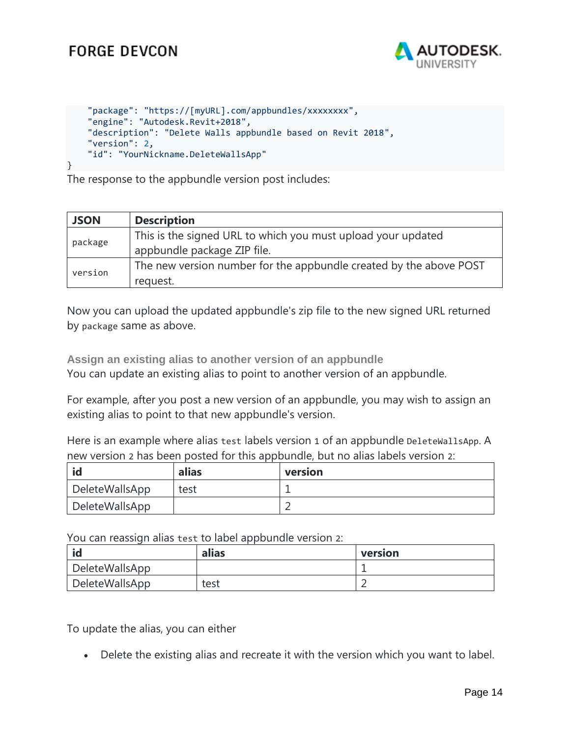

```
 "package": "https://[myURL].com/appbundles/xxxxxxxx",
     "engine": "Autodesk.Revit+2018",
     "description": "Delete Walls appbundle based on Revit 2018",
     "version": 2,
     "id": "YourNickname.DeleteWallsApp"
}
```
The response to the appbundle version post includes:

| <b>JSON</b> | <b>Description</b>                                                                          |
|-------------|---------------------------------------------------------------------------------------------|
| package     | This is the signed URL to which you must upload your updated<br>appbundle package ZIP file. |
|             | The new version number for the appbundle created by the above POST                          |
| version     | request.                                                                                    |

Now you can upload the updated appbundle's zip file to the new signed URL returned by package same as above.

**Assign an existing alias to another version of an appbundle** You can update an existing alias to point to another version of an appbundle.

For example, after you post a new version of an appbundle, you may wish to assign an existing alias to point to that new appbundle's version.

Here is an example where alias test labels version 1 of an appbundle DeleteWallsApp. A new version 2 has been posted for this appbundle, but no alias labels version 2:

| id             | alias | version |
|----------------|-------|---------|
| DeleteWallsApp | test  |         |
| DeleteWallsApp |       | -       |

You can reassign alias test to label appbundle version 2:

| id             | alias | version |
|----------------|-------|---------|
| DeleteWallsApp |       |         |
| DeleteWallsApp | test  |         |

To update the alias, you can either

• Delete the existing alias and recreate it with the version which you want to label.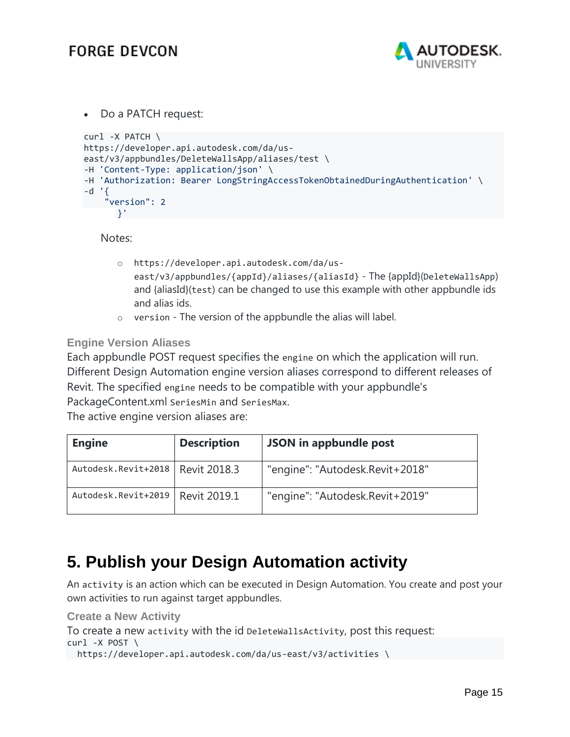

• Do a PATCH request:

```
curl -X PATCH \
https://developer.api.autodesk.com/da/us-
east/v3/appbundles/DeleteWallsApp/aliases/test \
-H 'Content-Type: application/json' \
-H 'Authorization: Bearer LongStringAccessTokenObtainedDuringAuthentication' \
-d '{
     "version": 2
      }'
```
Notes:

- o https://developer.api.autodesk.com/da/useast/v3/appbundles/{appId}/aliases/{aliasId} - The {appId}(DeleteWallsApp) and {aliasId}(test) can be changed to use this example with other appbundle ids and alias ids.
- o version The version of the appbundle the alias will label.

#### **Engine Version Aliases**

Each appbundle POST request specifies the engine on which the application will run. Different Design Automation engine version aliases correspond to different releases of Revit. The specified engine needs to be compatible with your appbundle's PackageContent.xml SeriesMin and SeriesMax.

The active engine version aliases are:

| <b>Engine</b>                       | <b>Description</b> | <b>JSON</b> in appbundle post      |
|-------------------------------------|--------------------|------------------------------------|
| Autodesk. Revit+2018   Revit 2018.3 |                    | "engine": "Autodesk.Revit+2018"    |
| Autodesk. Revit+2019   Revit 2019.1 |                    | "engine": "Autodesk. Revit + 2019" |

# **5. Publish your Design Automation activity**

An activity is an action which can be executed in Design Automation. You create and post your own activities to run against target appbundles.

**Create a New Activity**

```
To create a new activity with the id DeleteWallsActivity, post this request:
curl -X POST \setminus
```
https://developer.api.autodesk.com/da/us-east/v3/activities \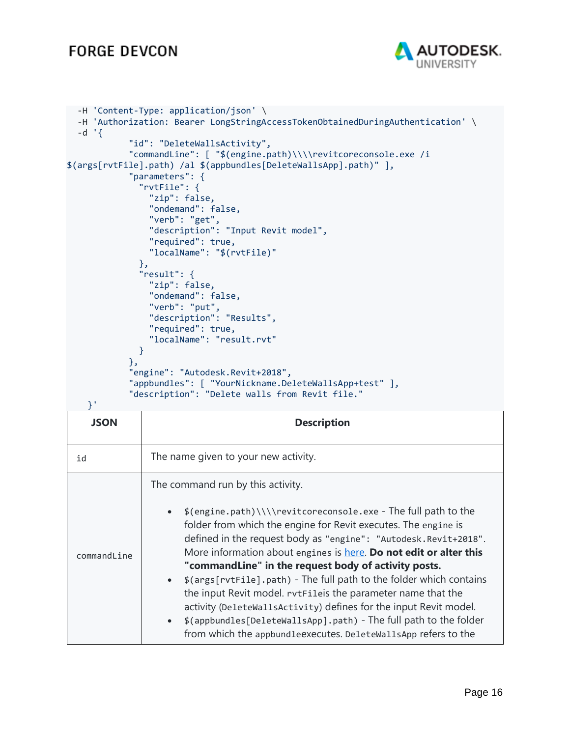

```
 -H 'Content-Type: application/json' \
   -H 'Authorization: Bearer LongStringAccessTokenObtainedDuringAuthentication' \
  -d \{ "id": "DeleteWallsActivity",
             "commandLine": [ "$(engine.path)\\\\revitcoreconsole.exe /i 
$(args[rvtFile].path) /al $(appbundles[DeleteWallsApp].path)" ],
             "parameters": {
               "rvtFile": {
                 "zip": false,
                 "ondemand": false,
                 "verb": "get",
                 "description": "Input Revit model",
                 "required": true,
                 "localName": "$(rvtFile)"
               },
               "result": {
                 "zip": false,
                 "ondemand": false,
                 "verb": "put",
                 "description": "Results",
                 "required": true,
                 "localName": "result.rvt"
 }
             },
             "engine": "Autodesk.Revit+2018",
             "appbundles": [ "YourNickname.DeleteWallsApp+test" ],
             "description": "Delete walls from Revit file."
     }'
     JSON Description
  id The name given to your new activity.
 commandLine
                 The command run by this activity.
                        • $(engine.path)\\\\revitcoreconsole.exe - The full path to the 
                        folder from which the engine for Revit executes. The engine is 
                        defined in the request body as "engine": "Autodesk.Revit+2018". 
                        More information about engines is here. Do not edit or alter this 
                        "commandLine" in the request body of activity posts.
                    • \frac{1}{2} (args[rvtFile].path) - The full path to the folder which contains
                        the input Revit model. rvtFileis the parameter name that the 
                        activity (DeleteWallsActivity) defines for the input Revit model.
                        • $(appbundles[DeleteWallsApp].path) - The full path to the folder 
                        from which the appbundleexecutes. DeleteWallsApp refers to the
```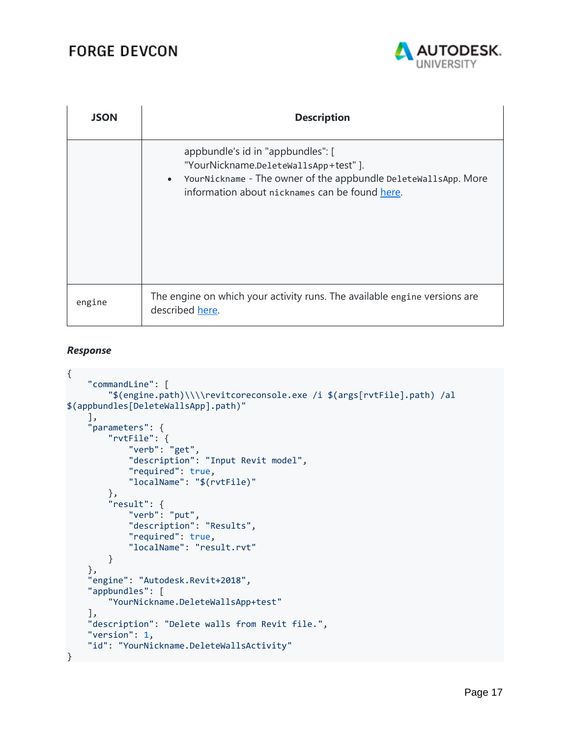

| <b>JSON</b> | <b>Description</b>                                                                                                                                                                              |
|-------------|-------------------------------------------------------------------------------------------------------------------------------------------------------------------------------------------------|
|             | appbundle's id in "appbundles": [<br>"YourNickname.DeleteWallsApp+test"].<br>• YourNickname - The owner of the appbundle DeleteWallsApp. More<br>information about nicknames can be found here. |
| engine      | The engine on which your activity runs. The available engine versions are<br>described here.                                                                                                    |

#### *Response*

```
{
     "commandLine": [
         "$(engine.path)\\\\revitcoreconsole.exe /i $(args[rvtFile].path) /al 
$(appbundles[DeleteWallsApp].path)"
 ],
 "parameters": {
         "rvtFile": {
             "verb": "get",
             "description": "Input Revit model",
 "required": true,
 "localName": "$(rvtFile)"
         },
         "result": {
             "verb": "put",
             "description": "Results",
             "required": true,
             "localName": "result.rvt"
        }
    },
     "engine": "Autodesk.Revit+2018",
     "appbundles": [
        "YourNickname.DeleteWallsApp+test"
 ],
 "description": "Delete walls from Revit file.",
     "version": 1,
    "id": "YourNickname.DeleteWallsActivity"
}
```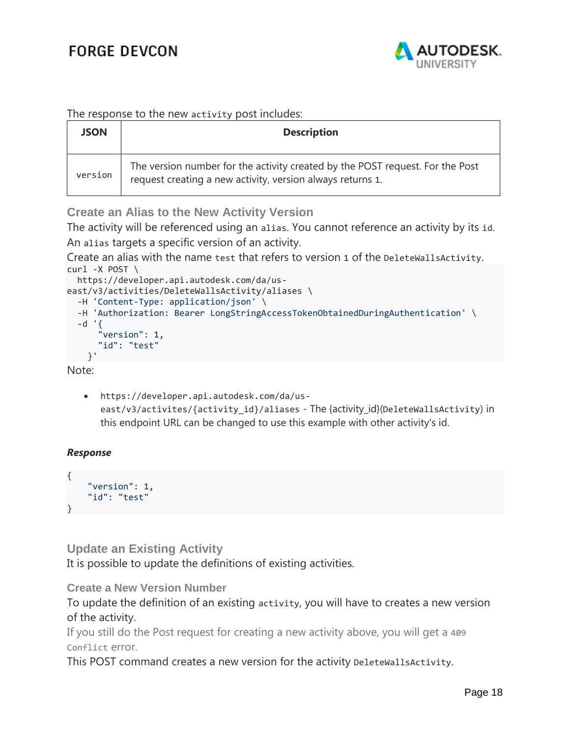

The response to the new activity post includes:

| <b>JSON</b> | <b>Description</b>                                                                                                                          |
|-------------|---------------------------------------------------------------------------------------------------------------------------------------------|
| version     | The version number for the activity created by the POST request. For the Post<br>request creating a new activity, version always returns 1. |

**Create an Alias to the New Activity Version**

The activity will be referenced using an alias. You cannot reference an activity by its id.

An alias targets a specific version of an activity.

Create an alias with the name test that refers to version 1 of the DeleteWallsActivity. curl -X POST \

```
 https://developer.api.autodesk.com/da/us-
east/v3/activities/DeleteWallsActivity/aliases \
   -H 'Content-Type: application/json' \
   -H 'Authorization: Bearer LongStringAccessTokenObtainedDuringAuthentication' \
  -d \{ "version": 1,
      "id": "test"
    }'
```
Note:

• https://developer.api.autodesk.com/da/useast/v3/activites/{activity\_id}/aliases - The {activity\_id}(DeleteWallsActivity) in this endpoint URL can be changed to use this example with other activity's id.

### *Response*

```
{
     "version": 1,
     "id": "test"
}
```
**Update an Existing Activity**

It is possible to update the definitions of existing activities.

**Create a New Version Number**

To update the definition of an existing activity, you will have to creates a new version of the activity.

If you still do the Post request for creating a new activity above, you will get a 409 Conflict error.

This POST command creates a new version for the activity DeleteWallsActivity.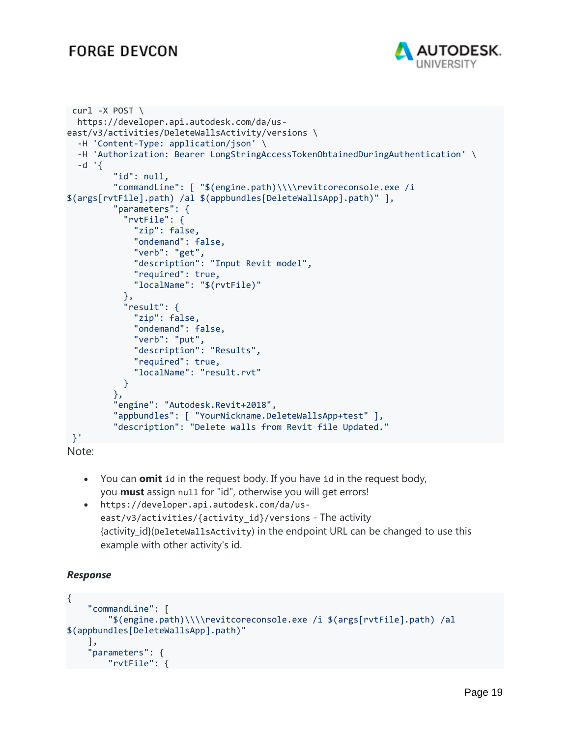

```
curl -X POST \setminus https://developer.api.autodesk.com/da/us-
east/v3/activities/DeleteWallsActivity/versions \
   -H 'Content-Type: application/json' \
   -H 'Authorization: Bearer LongStringAccessTokenObtainedDuringAuthentication' \
  -d \{ "id": null,
          "commandLine": [ "$(engine.path)\\\\revitcoreconsole.exe /i 
$(args[rvtFile].path) /al $(appbundles[DeleteWallsApp].path)" ],
          "parameters": {
            "rvtFile": {
               "zip": false,
               "ondemand": false,
               "verb": "get",
               "description": "Input Revit model",
               "required": true,
               "localName": "$(rvtFile)"
            },
            "result": {
              "zip": false,
               "ondemand": false,
               "verb": "put",
              "description": "Results",
               "required": true,
               "localName": "result.rvt"
            }
          },
          "engine": "Autodesk.Revit+2018",
          "appbundles": [ "YourNickname.DeleteWallsApp+test" ],
          "description": "Delete walls from Revit file Updated."
 }'
```
Note:

- You can **omit** id in the request body. If you have id in the request body, you **must** assign null for "id", otherwise you will get errors!
- https://developer.api.autodesk.com/da/useast/v3/activities/{activity\_id}/versions - The activity {activity\_id}(DeleteWallsActivity) in the endpoint URL can be changed to use this example with other activity's id.

### *Response*

```
{
     "commandLine": [
         "$(engine.path)\\\\revitcoreconsole.exe /i $(args[rvtFile].path) /al 
$(appbundles[DeleteWallsApp].path)"
     ],
     "parameters": {
         "rvtFile": {
```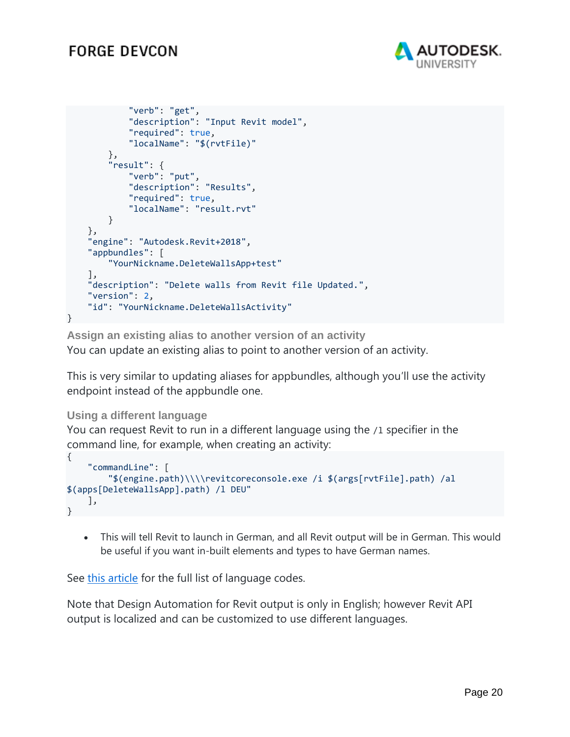

```
 "verb": "get",
             "description": "Input Revit model",
             "required": true,
             "localName": "$(rvtFile)"
\},
 "result": {
             "verb": "put",
             "description": "Results",
             "required": true,
             "localName": "result.rvt"
         }
     },
     "engine": "Autodesk.Revit+2018",
     "appbundles": [
         "YourNickname.DeleteWallsApp+test"
 ],
 "description": "Delete walls from Revit file Updated.",
     "version": 2,
     "id": "YourNickname.DeleteWallsActivity"
}
```
**Assign an existing alias to another version of an activity** You can update an existing alias to point to another version of an activity.

This is very similar to updating aliases for appbundles, although you'll use the activity endpoint instead of the appbundle one.

**Using a different language**

You can request Revit to run in a different language using the /1 specifier in the command line, for example, when creating an activity:

```
{
     "commandLine": [
         "$(engine.path)\\\\revitcoreconsole.exe /i $(args[rvtFile].path) /al 
$(apps[DeleteWallsApp].path) /l DEU"
    ],
}
```
• This will tell Revit to launch in German, and all Revit output will be in German. This would be useful if you want in-built elements and types to have German names.

See [this article](https://knowledge.autodesk.com/support/revit-products/troubleshooting/caas/CloudHelp/cloudhelp/2017/ENU/Revit-Installation/files/GUID-BD09C1B4-5520-475D-BE7E-773642EEBD6C-htm.html) for the full list of language codes.

Note that Design Automation for Revit output is only in English; however Revit API output is localized and can be customized to use different languages.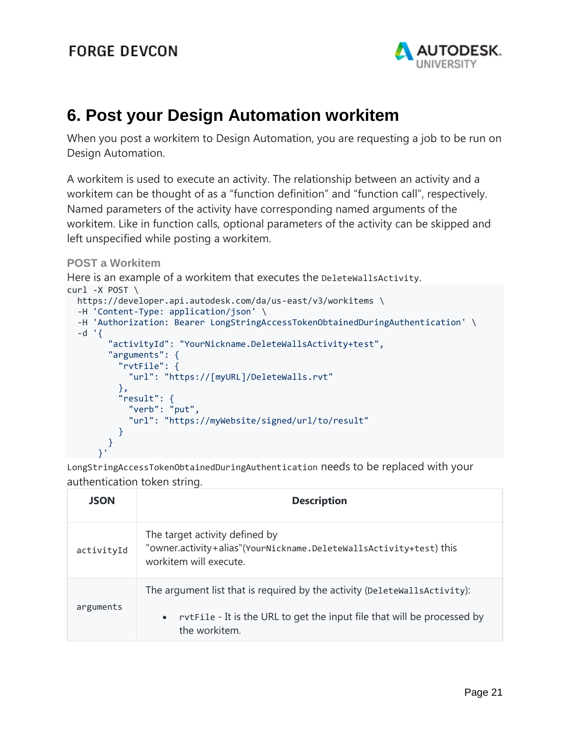

# **6. Post your Design Automation workitem**

When you post a workitem to Design Automation, you are requesting a job to be run on Design Automation.

A workitem is used to execute an activity. The relationship between an activity and a workitem can be thought of as a "function definition" and "function call", respectively. Named parameters of the activity have corresponding named arguments of the workitem. Like in function calls, optional parameters of the activity can be skipped and left unspecified while posting a workitem.

### **POST a Workitem**

```
Here is an example of a workitem that executes the DeleteWallsActivity.
curl -X POST \
   https://developer.api.autodesk.com/da/us-east/v3/workitems \
   -H 'Content-Type: application/json' \
   -H 'Authorization: Bearer LongStringAccessTokenObtainedDuringAuthentication' \
   -d '{
         "activityId": "YourNickname.DeleteWallsActivity+test",
         "arguments": {
           "rvtFile": {
             "url": "https://[myURL]/DeleteWalls.rvt"
           },
           "result": {
             "verb": "put",
             "url": "https://myWebsite/signed/url/to/result"
           }
         }
       }'
```
LongStringAccessTokenObtainedDuringAuthentication needs to be replaced with your authentication token string.

| <b>JSON</b> | <b>Description</b>                                                                                                                                                                 |
|-------------|------------------------------------------------------------------------------------------------------------------------------------------------------------------------------------|
| activityId  | The target activity defined by<br>"owner.activity+alias"(YourNickname.DeleteWallsActivity+test) this<br>workitem will execute.                                                     |
| arguments   | The argument list that is required by the activity (DeleteWallsActivity):<br>rytrile - It is the URL to get the input file that will be processed by<br>$\bullet$<br>the workitem. |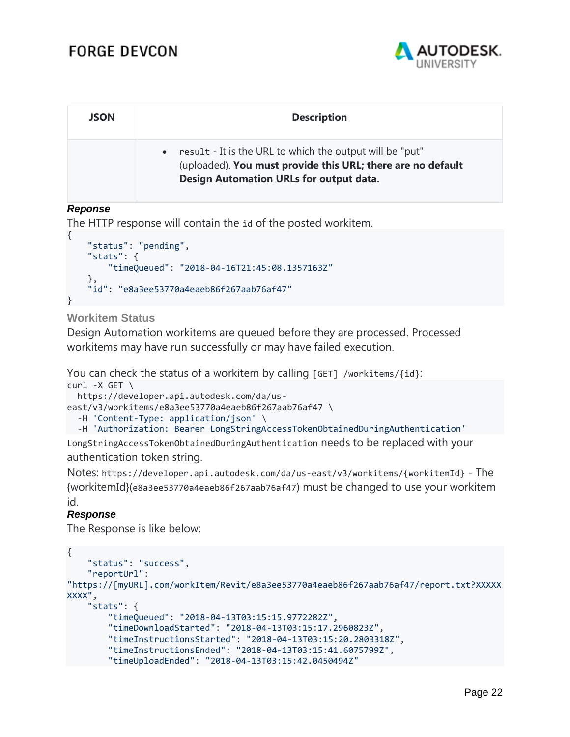

| <b>JSON</b> | <b>Description</b>                                                                                                                                                          |
|-------------|-----------------------------------------------------------------------------------------------------------------------------------------------------------------------------|
|             | • result - It is the URL to which the output will be "put"<br>(uploaded). You must provide this URL; there are no default<br><b>Design Automation URLs for output data.</b> |

#### *Reponse*

The HTTP response will contain the id of the posted workitem.

```
{
     "status": "pending",
     "stats": {
         "timeQueued": "2018-04-16T21:45:08.1357163Z"
 },
     "id": "e8a3ee53770a4eaeb86f267aab76af47"
}
```
#### **Workitem Status**

Design Automation workitems are queued before they are processed. Processed workitems may have run successfully or may have failed execution.

```
You can check the status of a workitem by calling [GET] /workitems/{id}:
curl -X GET \setminus https://developer.api.autodesk.com/da/us-
```

```
east/v3/workitems/e8a3ee53770a4eaeb86f267aab76af47 \
```

```
 -H 'Content-Type: application/json' \
```

```
 -H 'Authorization: Bearer LongStringAccessTokenObtainedDuringAuthentication'
```
LongStringAccessTokenObtainedDuringAuthentication needs to be replaced with your authentication token string.

Notes: https://developer.api.autodesk.com/da/us-east/v3/workitems/{workitemId} - The {workitemId}(e8a3ee53770a4eaeb86f267aab76af47) must be changed to use your workitem id.

### *Response*

The Response is like below:

```
{
     "status": "success",
     "reportUrl": 
"https://[myURL].com/workItem/Revit/e8a3ee53770a4eaeb86f267aab76af47/report.txt?XXXXX
XXXX",
     "stats": {
         "timeQueued": "2018-04-13T03:15:15.9772282Z",
         "timeDownloadStarted": "2018-04-13T03:15:17.2960823Z",
         "timeInstructionsStarted": "2018-04-13T03:15:20.2803318Z",
         "timeInstructionsEnded": "2018-04-13T03:15:41.6075799Z",
         "timeUploadEnded": "2018-04-13T03:15:42.0450494Z"
```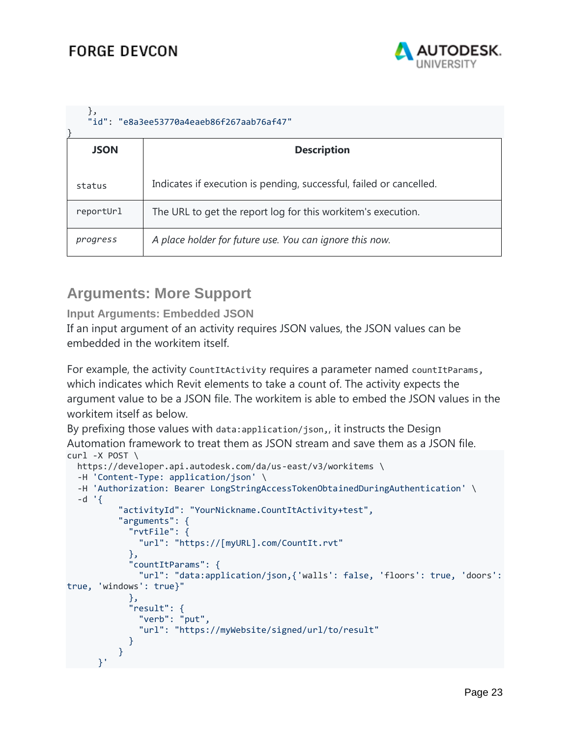

| ر {<br>"id": "e8a3ee53770a4eaeb86f267aab76af47" |                                                                     |
|-------------------------------------------------|---------------------------------------------------------------------|
| <b>JSON</b>                                     | <b>Description</b>                                                  |
| status                                          | Indicates if execution is pending, successful, failed or cancelled. |
| reportUrl                                       | The URL to get the report log for this workitem's execution.        |
| progress                                        | A place holder for future use. You can ignore this now.             |

### **Arguments: More Support**

**Input Arguments: Embedded JSON**

If an input argument of an activity requires JSON values, the JSON values can be embedded in the workitem itself.

For example, the activity CountItActivity requires a parameter named countItParams, which indicates which Revit elements to take a count of. The activity expects the argument value to be a JSON file. The workitem is able to embed the JSON values in the workitem itself as below.

By prefixing those values with data:application/json,, it instructs the Design Automation framework to treat them as JSON stream and save them as a JSON file. curl -X POST \

```
 https://developer.api.autodesk.com/da/us-east/v3/workitems \
   -H 'Content-Type: application/json' \
   -H 'Authorization: Bearer LongStringAccessTokenObtainedDuringAuthentication' \
  -d ' {
           "activityId": "YourNickname.CountItActivity+test",
           "arguments": {
             "rvtFile": {
              "url": "https://[myURL].com/CountIt.rvt"
 },
  "countItParams": {
              "url": "data:application/json,{'walls': false, 'floors': true, 'doors': 
true, 'windows': true}"
             },
             "result": {
              "verb": "put",
              "url": "https://myWebsite/signed/url/to/result"
 }
          }
      }'
```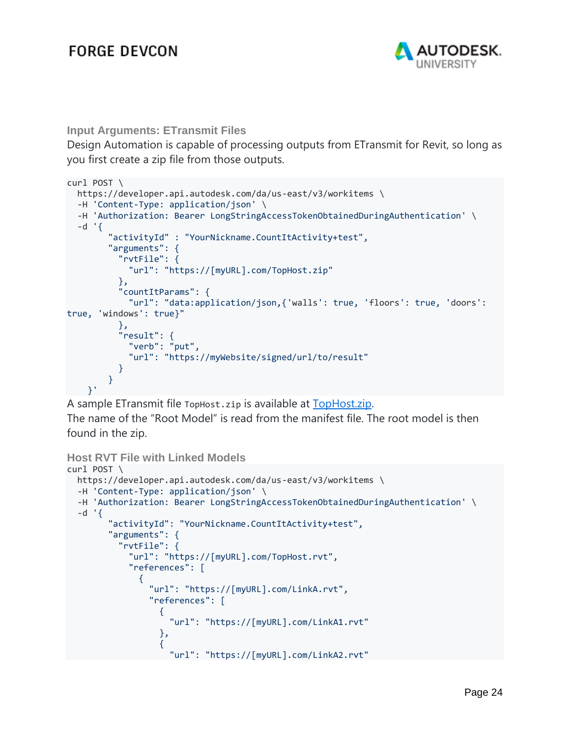

**Input Arguments: ETransmit Files**

Design Automation is capable of processing outputs from ETransmit for Revit, so long as you first create a zip file from those outputs.

```
curl POST \
   https://developer.api.autodesk.com/da/us-east/v3/workitems \
   -H 'Content-Type: application/json' \
   -H 'Authorization: Bearer LongStringAccessTokenObtainedDuringAuthentication' \
   -d '{
         "activityId" : "YourNickname.CountItActivity+test",
         "arguments": {
           "rvtFile": {
             "url": "https://[myURL].com/TopHost.zip"
           },
            "countItParams": {
             "url": "data:application/json,{'walls': true, 'floors': true, 'doors': 
true, 'windows': true}"
           },
           "result": {
             "verb": "put",
             "url": "https://myWebsite/signed/url/to/result"
           }
         }
     }'
```
A sample ETransmit file TopHost.zip is available at [TopHost.zip.](https://revitio.s3.amazonaws.com/documentation/TopHost.zip)

The name of the "Root Model" is read from the manifest file. The root model is then found in the zip.

```
Host RVT File with Linked Models
curl POST \
  https://developer.api.autodesk.com/da/us-east/v3/workitems \
  -H 'Content-Type: application/json' \
   -H 'Authorization: Bearer LongStringAccessTokenObtainedDuringAuthentication' \
  -d '{
        "activityId": "YourNickname.CountItActivity+test",
        "arguments": {
          "rvtFile": {
            "url": "https://[myURL].com/TopHost.rvt",
            "references": [
\{ "url": "https://[myURL].com/LinkA.rvt",
                "references": [
\{ "url": "https://[myURL].com/LinkA1.rvt"
                  },
\{ "url": "https://[myURL].com/LinkA2.rvt"
```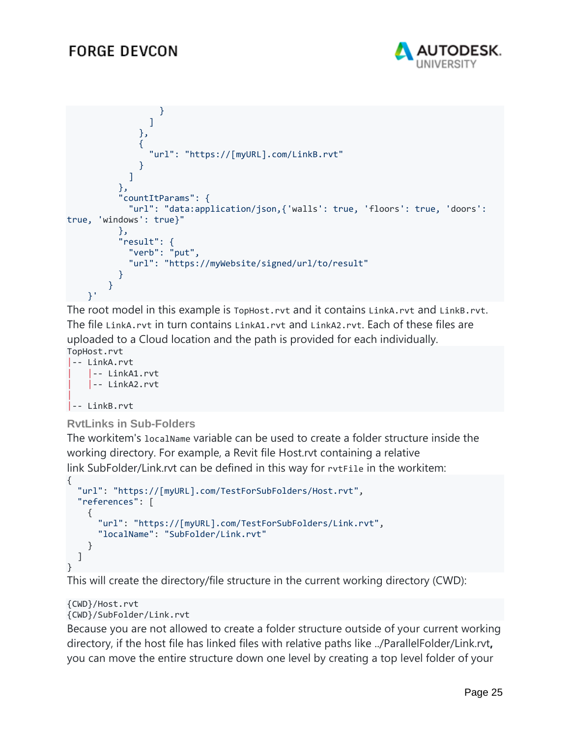

```
denotes the control of the state of the state of the state of the state of the state of the state of the state
 ]
                 },
\{ "url": "https://[myURL].com/LinkB.rvt"
 }
 ]
             },
             "countItParams": {
               "url": "data:application/json,{'walls': true, 'floors': true, 'doors': 
true, 'windows': true}"
             },
             "result": {
               "verb": "put",
               "url": "https://myWebsite/signed/url/to/result"
             }
          }
     }'
```
The root model in this example is TopHost.rvt and it contains LinkA.rvt and LinkB.rvt. The file LinkA.rvt in turn contains LinkA1.rvt and LinkA2.rvt. Each of these files are uploaded to a Cloud location and the path is provided for each individually. TopHost.rvt

```
|-- LinkA.rvt
     | |-- LinkA1.rvt
     | |-- LinkA2.rvt
|
```
#### |-- LinkB.rvt

### **RvtLinks in Sub-Folders**

The workitem's localName variable can be used to create a folder structure inside the working directory. For example, a Revit file Host.rvt containing a relative link SubFolder/Link.rvt can be defined in this way for rvtFile in the workitem:

```
{
   "url": "https://[myURL].com/TestForSubFolders/Host.rvt",
   "references": [
     {
       "url": "https://[myURL].com/TestForSubFolders/Link.rvt",
       "localName": "SubFolder/Link.rvt"
     }
   ]
}
```
This will create the directory/file structure in the current working directory (CWD):

#### {CWD}/Host.rvt

```
{CWD}/SubFolder/Link.rvt
```
Because you are not allowed to create a folder structure outside of your current working directory, if the host file has linked files with relative paths like ../ParallelFolder/Link.rvt**,** you can move the entire structure down one level by creating a top level folder of your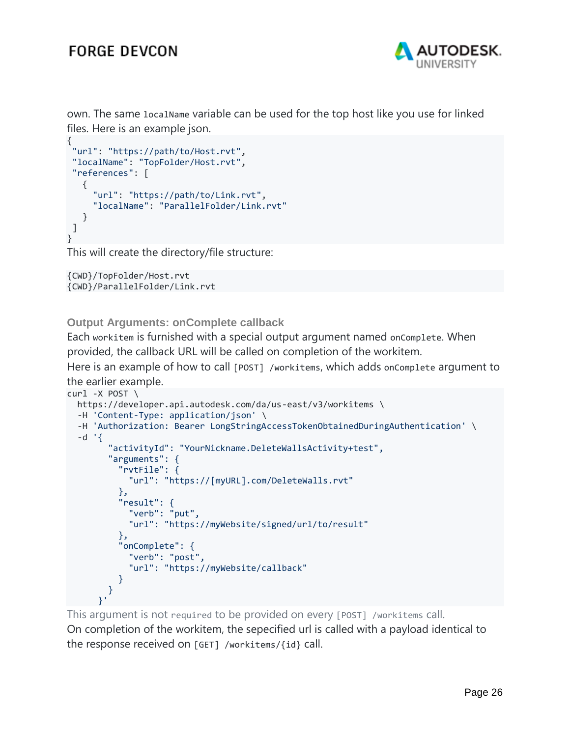

own. The same localName variable can be used for the top host like you use for linked files. Here is an example json.

```
{
 "url": "https://path/to/Host.rvt",
 "localName": "TopFolder/Host.rvt",
 "references": [
    {
      "url": "https://path/to/Link.rvt",
      "localName": "ParallelFolder/Link.rvt"
   }
]
}
```
This will create the directory/file structure:

{CWD}/TopFolder/Host.rvt {CWD}/ParallelFolder/Link.rvt

**Output Arguments: onComplete callback**

Each workitem is furnished with a special output argument named onComplete. When provided, the callback URL will be called on completion of the workitem.

Here is an example of how to call [POST] /workitems, which adds onComplete argument to the earlier example.

```
curl -X POST \
  https://developer.api.autodesk.com/da/us-east/v3/workitems \
   -H 'Content-Type: application/json' \
   -H 'Authorization: Bearer LongStringAccessTokenObtainedDuringAuthentication' \
   -d '{
         "activityId": "YourNickname.DeleteWallsActivity+test",
         "arguments": {
           "rvtFile": {
             "url": "https://[myURL].com/DeleteWalls.rvt"
           },
           "result": {
             "verb": "put",
             "url": "https://myWebsite/signed/url/to/result"
           },
           "onComplete": {
             "verb": "post",
             "url": "https://myWebsite/callback"
 }
 }
 }'
```
This argument is not required to be provided on every [POST] /workitems call. On completion of the workitem, the sepecified url is called with a payload identical to the response received on [GET] /workitems/{id} call.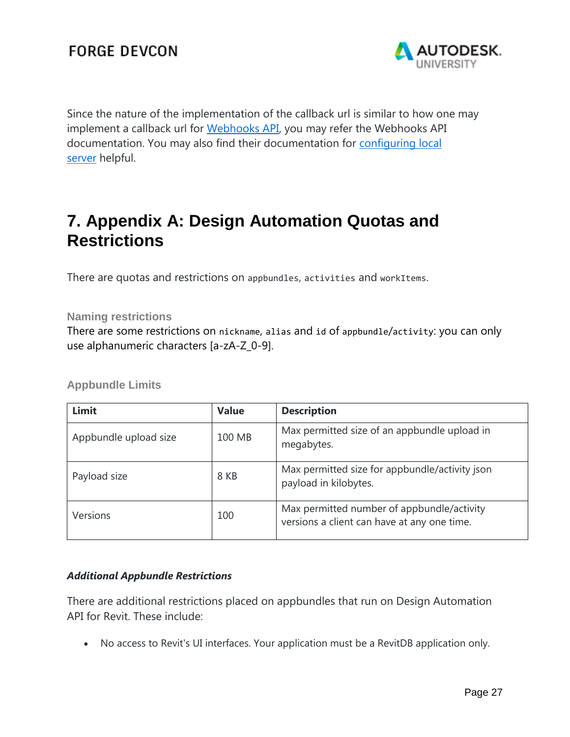

Since the nature of the implementation of the callback url is similar to how one may implement a callback url for [Webhooks API,](https://developer.autodesk.com/en/docs/webhooks/v1/overview/) you may refer the Webhooks API documentation. You may also find their documentation for configuring local [server](https://developer.autodesk.com/en/docs/webhooks/v1/tutorials/configuring-your-server/) helpful.

# **7. Appendix A: Design Automation Quotas and Restrictions**

There are quotas and restrictions on appbundles, activities and workItems.

#### **Naming restrictions**

There are some restrictions on nickname, alias and id of appbundle/activity: you can only use alphanumeric characters [a-zA-Z\_0-9].

#### **Appbundle Limits**

| <b>Limit</b>          | <b>Value</b> | <b>Description</b>                                                                        |
|-----------------------|--------------|-------------------------------------------------------------------------------------------|
| Appbundle upload size | 100 MB       | Max permitted size of an appbundle upload in<br>megabytes.                                |
| Payload size          | 8 KB         | Max permitted size for appbundle/activity json<br>payload in kilobytes.                   |
| <b>Versions</b>       | 100          | Max permitted number of appbundle/activity<br>versions a client can have at any one time. |

### *Additional Appbundle Restrictions*

There are additional restrictions placed on appbundles that run on Design Automation API for Revit. These include:

• No access to Revit's UI interfaces. Your application must be a RevitDB application only.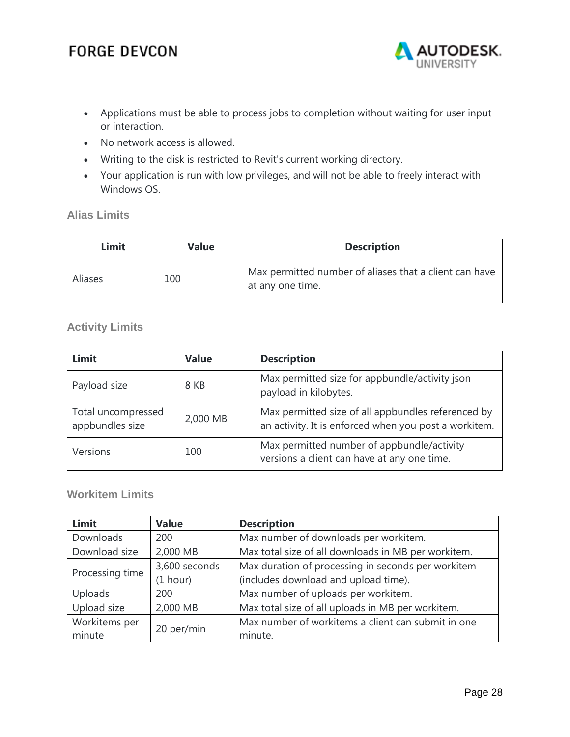- Applications must be able to process jobs to completion without waiting for user input or interaction.
- No network access is allowed.
- Writing to the disk is restricted to Revit's current working directory.
- Your application is run with low privileges, and will not be able to freely interact with Windows OS.

**Alias Limits**

| Limit          | <b>Value</b> | <b>Description</b>                                                         |
|----------------|--------------|----------------------------------------------------------------------------|
| <b>Aliases</b> | 100          | Max permitted number of aliases that a client can have<br>at any one time. |

### **Activity Limits**

| <b>Limit</b>                          | <b>Value</b> | <b>Description</b>                                                                                          |
|---------------------------------------|--------------|-------------------------------------------------------------------------------------------------------------|
| Payload size                          | 8 KB         | Max permitted size for appbundle/activity json<br>payload in kilobytes.                                     |
| Total uncompressed<br>appbundles size | 2,000 MB     | Max permitted size of all appbundles referenced by<br>an activity. It is enforced when you post a workitem. |
| Versions                              | 100          | Max permitted number of appbundle/activity<br>versions a client can have at any one time.                   |

### **Workitem Limits**

| <b>Limit</b>    | <b>Value</b>  | <b>Description</b>                                  |
|-----------------|---------------|-----------------------------------------------------|
| Downloads       | 200           | Max number of downloads per workitem.               |
| Download size   | 2,000 MB      | Max total size of all downloads in MB per workitem. |
| Processing time | 3,600 seconds | Max duration of processing in seconds per workitem  |
|                 | (1 hour)      | (includes download and upload time).                |
| Uploads         | 200           | Max number of uploads per workitem.                 |
| Upload size     | 2,000 MB      | Max total size of all uploads in MB per workitem.   |
| Workitems per   |               | Max number of workitems a client can submit in one  |
| minute          | 20 per/min    | minute.                                             |

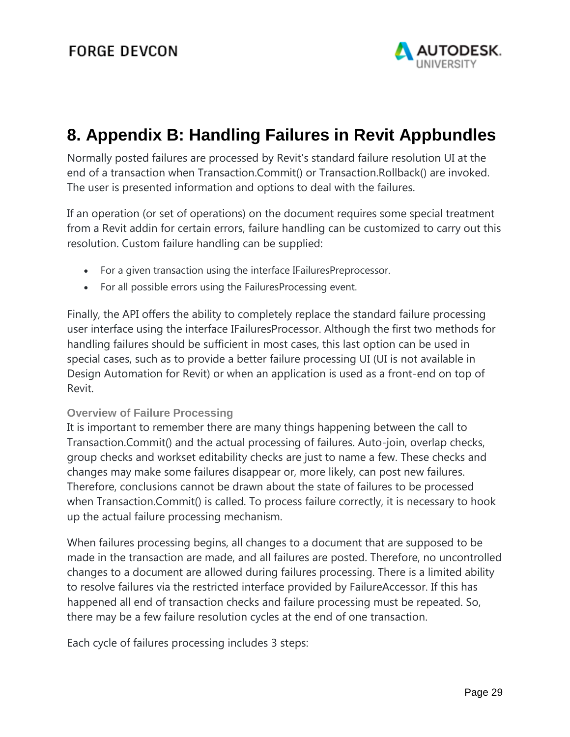

# **8. Appendix B: Handling Failures in Revit Appbundles**

Normally posted failures are processed by Revit's standard failure resolution UI at the end of a transaction when Transaction.Commit() or Transaction.Rollback() are invoked. The user is presented information and options to deal with the failures.

If an operation (or set of operations) on the document requires some special treatment from a Revit addin for certain errors, failure handling can be customized to carry out this resolution. Custom failure handling can be supplied:

- For a given transaction using the interface IFailuresPreprocessor.
- For all possible errors using the FailuresProcessing event.

Finally, the API offers the ability to completely replace the standard failure processing user interface using the interface IFailuresProcessor. Although the first two methods for handling failures should be sufficient in most cases, this last option can be used in special cases, such as to provide a better failure processing UI (UI is not available in Design Automation for Revit) or when an application is used as a front-end on top of Revit.

### **Overview of Failure Processing**

It is important to remember there are many things happening between the call to Transaction.Commit() and the actual processing of failures. Auto-join, overlap checks, group checks and workset editability checks are just to name a few. These checks and changes may make some failures disappear or, more likely, can post new failures. Therefore, conclusions cannot be drawn about the state of failures to be processed when Transaction.Commit() is called. To process failure correctly, it is necessary to hook up the actual failure processing mechanism.

When failures processing begins, all changes to a document that are supposed to be made in the transaction are made, and all failures are posted. Therefore, no uncontrolled changes to a document are allowed during failures processing. There is a limited ability to resolve failures via the restricted interface provided by FailureAccessor. If this has happened all end of transaction checks and failure processing must be repeated. So, there may be a few failure resolution cycles at the end of one transaction.

Each cycle of failures processing includes 3 steps: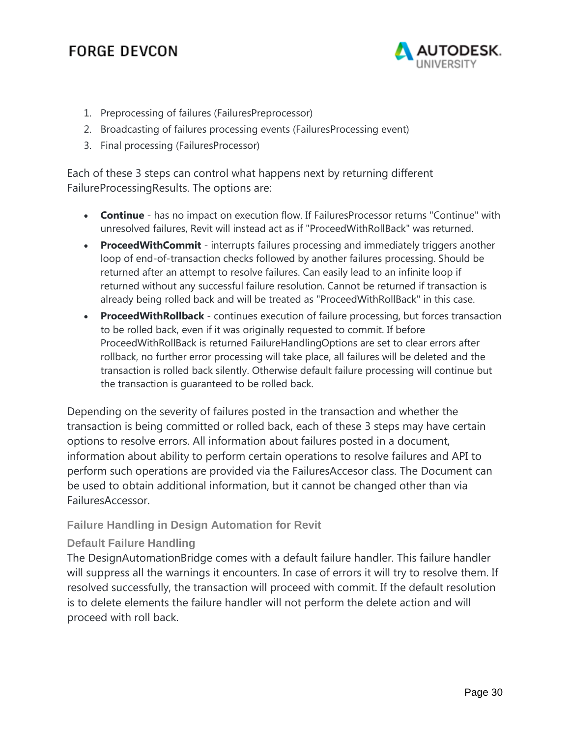

- 1. Preprocessing of failures (FailuresPreprocessor)
- 2. Broadcasting of failures processing events (FailuresProcessing event)
- 3. Final processing (FailuresProcessor)

Each of these 3 steps can control what happens next by returning different FailureProcessingResults. The options are:

- **Continue** has no impact on execution flow. If FailuresProcessor returns "Continue" with unresolved failures, Revit will instead act as if "ProceedWithRollBack" was returned.
- **ProceedWithCommit** interrupts failures processing and immediately triggers another loop of end-of-transaction checks followed by another failures processing. Should be returned after an attempt to resolve failures. Can easily lead to an infinite loop if returned without any successful failure resolution. Cannot be returned if transaction is already being rolled back and will be treated as "ProceedWithRollBack" in this case.
- **ProceedWithRollback** continues execution of failure processing, but forces transaction to be rolled back, even if it was originally requested to commit. If before ProceedWithRollBack is returned FailureHandlingOptions are set to clear errors after rollback, no further error processing will take place, all failures will be deleted and the transaction is rolled back silently. Otherwise default failure processing will continue but the transaction is guaranteed to be rolled back.

Depending on the severity of failures posted in the transaction and whether the transaction is being committed or rolled back, each of these 3 steps may have certain options to resolve errors. All information about failures posted in a document, information about ability to perform certain operations to resolve failures and API to perform such operations are provided via the FailuresAccesor class. The Document can be used to obtain additional information, but it cannot be changed other than via FailuresAccessor.

### **Failure Handling in Design Automation for Revit**

### **Default Failure Handling**

The DesignAutomationBridge comes with a default failure handler. This failure handler will suppress all the warnings it encounters. In case of errors it will try to resolve them. If resolved successfully, the transaction will proceed with commit. If the default resolution is to delete elements the failure handler will not perform the delete action and will proceed with roll back.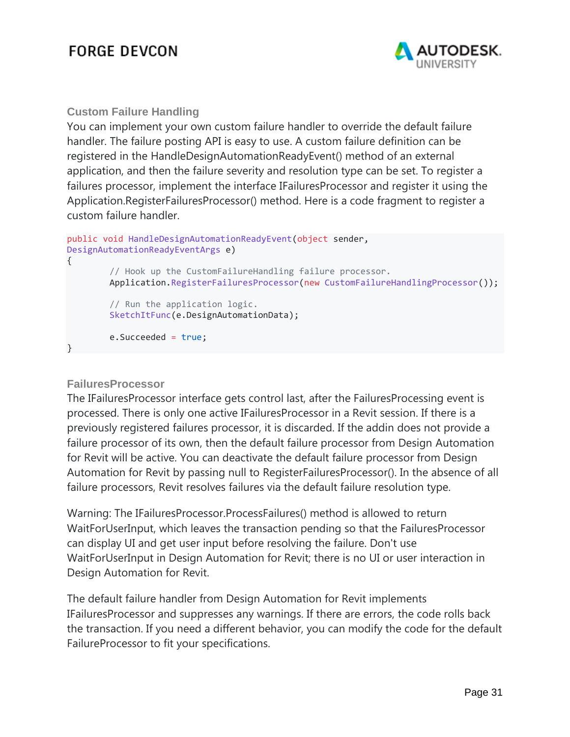

### **Custom Failure Handling**

You can implement your own custom failure handler to override the default failure handler. The failure posting API is easy to use. A custom failure definition can be registered in the HandleDesignAutomationReadyEvent() method of an external application, and then the failure severity and resolution type can be set. To register a failures processor, implement the interface IFailuresProcessor and register it using the Application.RegisterFailuresProcessor() method. Here is a code fragment to register a custom failure handler.

```
public void HandleDesignAutomationReadyEvent(object sender, 
DesignAutomationReadyEventArgs e)
{
        // Hook up the CustomFailureHandling failure processor.
        Application.RegisterFailuresProcessor(new CustomFailureHandlingProcessor());
        // Run the application logic.
        SketchItFunc(e.DesignAutomationData);
        e.Succeeded = true;
}
```
#### **FailuresProcessor**

The IFailuresProcessor interface gets control last, after the FailuresProcessing event is processed. There is only one active IFailuresProcessor in a Revit session. If there is a previously registered failures processor, it is discarded. If the addin does not provide a failure processor of its own, then the default failure processor from Design Automation for Revit will be active. You can deactivate the default failure processor from Design Automation for Revit by passing null to RegisterFailuresProcessor(). In the absence of all failure processors, Revit resolves failures via the default failure resolution type.

Warning: The IFailuresProcessor.ProcessFailures() method is allowed to return WaitForUserInput, which leaves the transaction pending so that the FailuresProcessor can display UI and get user input before resolving the failure. Don't use WaitForUserInput in Design Automation for Revit; there is no UI or user interaction in Design Automation for Revit.

The default failure handler from Design Automation for Revit implements IFailuresProcessor and suppresses any warnings. If there are errors, the code rolls back the transaction. If you need a different behavior, you can modify the code for the default FailureProcessor to fit your specifications.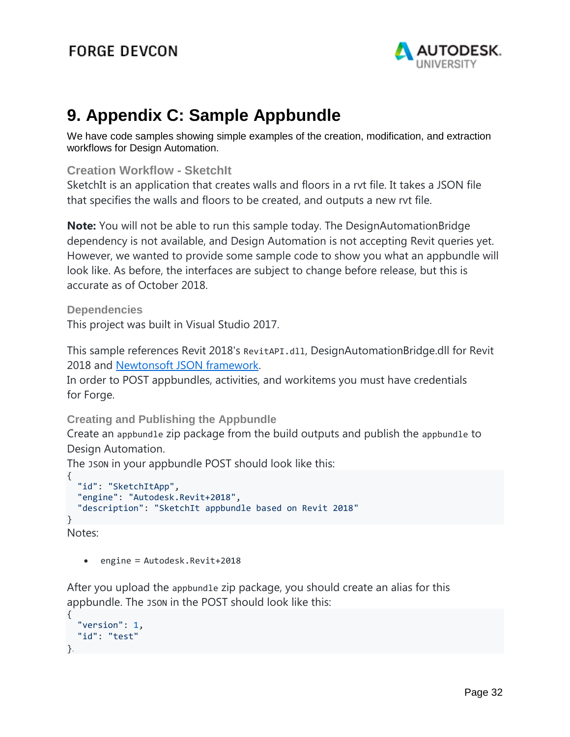

# **9. Appendix C: Sample Appbundle**

We have code samples showing simple examples of the creation, modification, and extraction workflows for Design Automation.

### **Creation Workflow - SketchIt**

SketchIt is an application that creates walls and floors in a rvt file. It takes a JSON file that specifies the walls and floors to be created, and outputs a new rvt file.

**Note:** You will not be able to run this sample today. The DesignAutomationBridge dependency is not available, and Design Automation is not accepting Revit queries yet. However, we wanted to provide some sample code to show you what an appbundle will look like. As before, the interfaces are subject to change before release, but this is accurate as of October 2018.

**Dependencies** This project was built in Visual Studio 2017.

This sample references Revit 2018's RevitAPI.dll, DesignAutomationBridge.dll for Revit 2018 and [Newtonsoft JSON framework.](https://www.newtonsoft.com/json)

In order to POST appbundles, activities, and workitems you must have credentials for Forge.

**Creating and Publishing the Appbundle**

Create an appbundle zip package from the build outputs and publish the appbundle to Design Automation.

The JSON in your appbundle POST should look like this:

```
{
   "id": "SketchItApp",
   "engine": "Autodesk.Revit+2018",
   "description": "SketchIt appbundle based on Revit 2018"
}
```
Notes:

• engine = Autodesk.Revit+2018

After you upload the appbundle zip package, you should create an alias for this appbundle. The JSON in the POST should look like this:

```
{
   "version": 1,
   "id": "test"
}.
```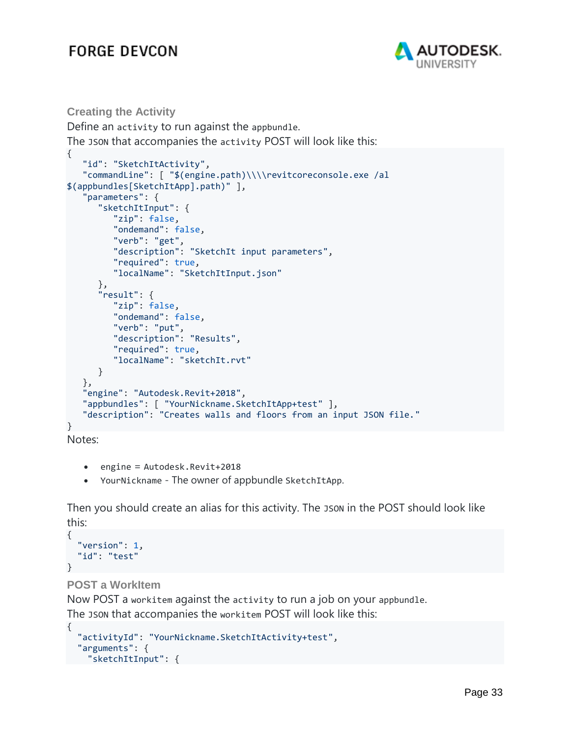

```
Creating the Activity
Define an activity to run against the appbundle.
The JSON that accompanies the activity POST will look like this:
{
    "id": "SketchItActivity",
    "commandLine": [ "$(engine.path)\\\\revitcoreconsole.exe /al 
$(appbundles[SketchItApp].path)" ],
    "parameters": {
       "sketchItInput": {
          "zip": false,
          "ondemand": false,
          "verb": "get",
          "description": "SketchIt input parameters",
          "required": true,
          "localName": "SketchItInput.json"
 },
 "result": {
          "zip": false,
          "ondemand": false,
          "verb": "put",
          "description": "Results",
          "required": true,
          "localName": "sketchIt.rvt"
       }
    },
    "engine": "Autodesk.Revit+2018",
    "appbundles": [ "YourNickname.SketchItApp+test" ],
    "description": "Creates walls and floors from an input JSON file."
}
```
Notes:

- engine = Autodesk.Revit+2018
- YourNickname The owner of appbundle SketchItApp.

Then you should create an alias for this activity. The JSON in the POST should look like this:

```
{
   "version": 1,
   "id": "test"
}
```
### **POST a WorkItem**

Now POST a workitem against the activity to run a job on your appbundle.

The JSON that accompanies the workitem POST will look like this:

```
{
   "activityId": "YourNickname.SketchItActivity+test",
   "arguments": {
   "sketchItInput": {
```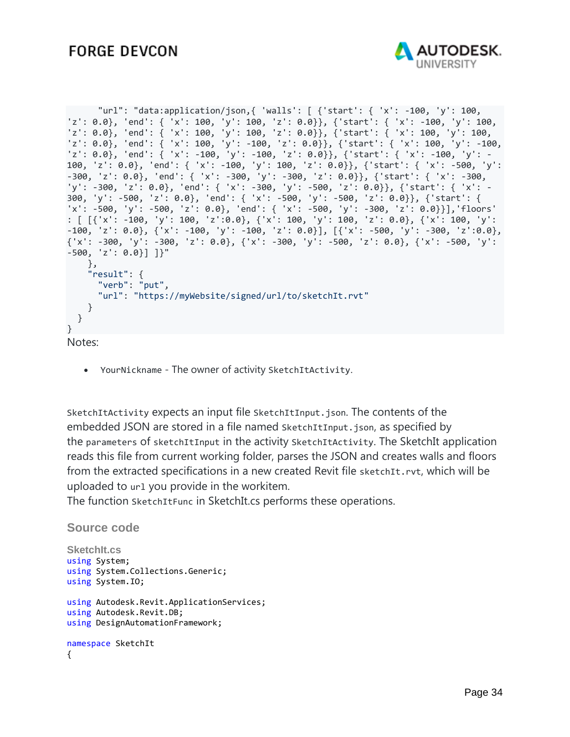```
 "url": "data:application/json,{ 'walls': [ {'start': { 'x': -100, 'y': 100, 
'z': 0.0}, 'end': { 'x': 100, 'y': 100, 'z': 0.0}}, {'start': { 'x': -100, 'y': 100, 
'z': 0.0}, 'end': { 'x': 100, 'y': 100, 'z': 0.0}}, {'start': { 'x': 100, 'y': 100, 
'z': 0.0}, 'end': { 'x': 100, 'y': -100, 'z': 0.0}}, {'start': { 'x': 100, 'y': -100, 
'z': 0.0}, 'end': { 'x': -100, 'y': -100, 'z': 0.0}}, {'start': { 'x': -100, 'y': -
100, 'z': 0.0}, 'end': { 'x': -100, 'y': 100, 'z': 0.0}}, {'start': { 'x': -500, 'y': 
-300, 'z': 0.0}, 'end': { 'x': -300, 'y': -300, 'z': 0.0}}, {'start': { 'x': -300, 
'y': -300, 'z': 0.0}, 'end': { 'x': -300, 'y': -500, 'z': 0.0}}, {'start': { 'x': -
300, 'y': -500, 'z': 0.0}, 'end': { 'x': -500, 'y': -500, 'z': 0.0}}, {'start': { 
'x': -500, 'y': -500, 'z': 0.0}, 'end': { 'x': -500, 'y': -300, 'z': 0.0}}],'floors' 
: [ [({}^{\prime}x^{\prime}:-100, 'y': 100, 'z':0.0], ({}^{\prime}x': 100, 'y': 100, 'z': 0.0], ({}^{\prime}x': 100, 'y':-100, 'z': 0.0}, {'x': -100, 'y': -100, 'z': 0.0}], [{'x': -500, 'y': -300, 'z':0.0}, 
{'x': -300, 'y': -300, 'z': 0.0}, {'x': -300, 'y': -500, 'z': 0.0}, {'x': -500, 'y': 
-500, 'z': 0.0}] ]}"
     },
     "result": {
       "verb": "put",
       "url": "https://myWebsite/signed/url/to/sketchIt.rvt"
     }
   }
}
```
Notes:

• YourNickname - The owner of activity SketchItActivity.

SketchItActivity expects an input file SketchItInput.json. The contents of the embedded JSON are stored in a file named SketchItInput.json, as specified by the parameters of sketchItInput in the activity SketchItActivity. The SketchIt application reads this file from current working folder, parses the JSON and creates walls and floors from the extracted specifications in a new created Revit file sketchIt.rvt, which will be uploaded to url you provide in the workitem.

The function SketchItFunc in SketchIt.cs performs these operations.

```
Source code
```

```
SketchIt.cs
using System;
using System.Collections.Generic;
using System.IO;
using Autodesk.Revit.ApplicationServices;
using Autodesk.Revit.DB;
using DesignAutomationFramework;
namespace SketchIt
{
```
**TODESK.**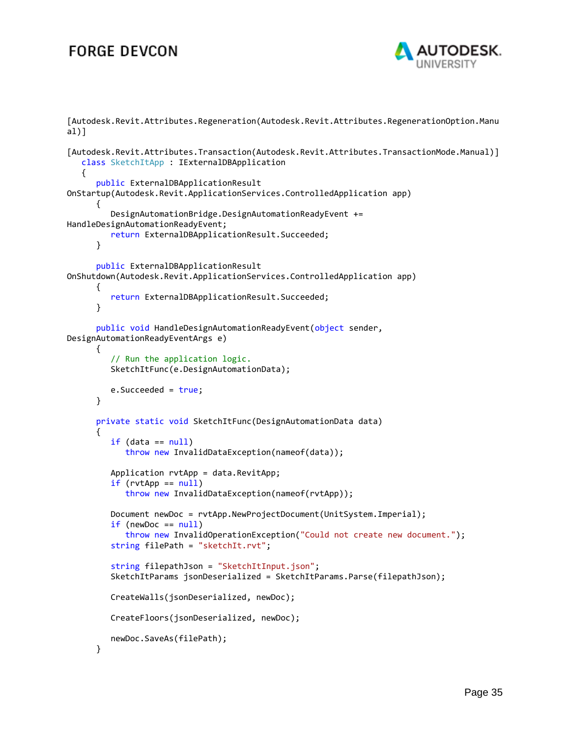

```
[Autodesk.Revit.Attributes.Regeneration(Autodesk.Revit.Attributes.RegenerationOption.Manu
al)]
```

```
[Autodesk.Revit.Attributes.Transaction(Autodesk.Revit.Attributes.TransactionMode.Manual)]
    class SketchItApp : IExternalDBApplication
    {
       public ExternalDBApplicationResult 
OnStartup(Autodesk.Revit.ApplicationServices.ControlledApplication app)
       {
          DesignAutomationBridge.DesignAutomationReadyEvent += 
HandleDesignAutomationReadyEvent;
          return ExternalDBApplicationResult.Succeeded;
       }
       public ExternalDBApplicationResult 
OnShutdown(Autodesk.Revit.ApplicationServices.ControlledApplication app)
       {
          return ExternalDBApplicationResult.Succeeded;
       }
       public void HandleDesignAutomationReadyEvent(object sender, 
DesignAutomationReadyEventArgs e)
       {
          // Run the application logic.
          SketchItFunc(e.DesignAutomationData);
          e.Succeeded = true;
       }
       private static void SketchItFunc(DesignAutomationData data)
\{ \{ \}if (data == null) throw new InvalidDataException(nameof(data));
          Application rvtApp = data.RevitApp;
         if (rvtApp == null) throw new InvalidDataException(nameof(rvtApp));
          Document newDoc = rvtApp.NewProjectDocument(UnitSystem.Imperial);
          if (newDoc == null)
             throw new InvalidOperationException("Could not create new document.");
          string filePath = "sketchIt.rvt";
          string filepathJson = "SketchItInput.json";
          SketchItParams jsonDeserialized = SketchItParams.Parse(filepathJson);
          CreateWalls(jsonDeserialized, newDoc);
          CreateFloors(jsonDeserialized, newDoc);
          newDoc.SaveAs(filePath);
       }
```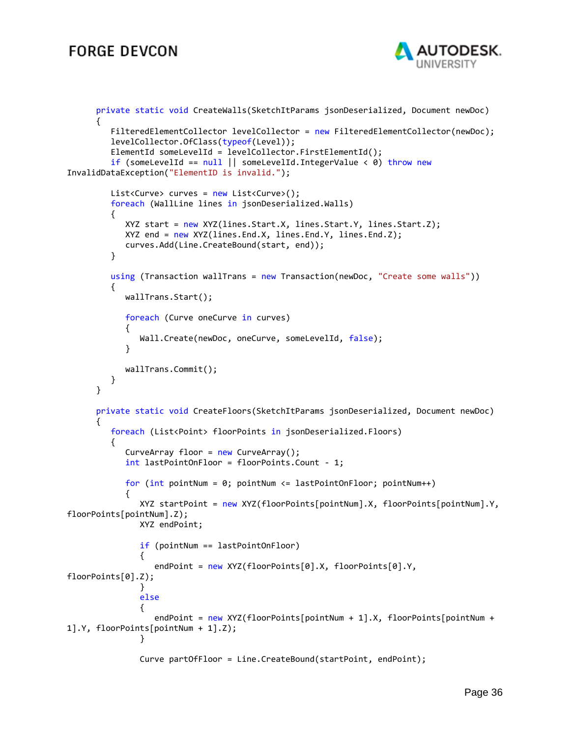

```
 private static void CreateWalls(SketchItParams jsonDeserialized, Document newDoc)
\{ \{ \}FilteredElementCollector levelCollector = new FilteredElementCollector(newDoc);
         levelCollector.OfClass(typeof(Level));
         ElementId someLevelId = levelCollector.FirstElementId();
        if (someLevelId == null || someLevelId.IntegerValue < 0) throw new
InvalidDataException("ElementID is invalid.");
        List<Curve> curves = new List<Curve>();
         foreach (WallLine lines in jsonDeserialized.Walls)
         {
            XYZ start = new XYZ(lines.Start.X, lines.Start.Y, lines.Start.Z);
            XYZ end = new XYZ(lines.End.X, lines.End.Y, lines.End.Z);
            curves.Add(Line.CreateBound(start, end));
         }
         using (Transaction wallTrans = new Transaction(newDoc, "Create some walls"))
         {
            wallTrans.Start();
            foreach (Curve oneCurve in curves)
\{Wall.Create(newDoc, oneCurve, someLevelId, false);
 }
            wallTrans.Commit();
         }
      }
      private static void CreateFloors(SketchItParams jsonDeserialized, Document newDoc)
\{ \{ \} foreach (List<Point> floorPoints in jsonDeserialized.Floors)
\overline{\mathcal{L}}CurveArray floor = new CurveArray);
            int lastPointOnFloor = floorPoints.Count - 1;
            for (int pointNum = 0; pointNum <= lastPointOnFloor; pointNum++)
\{ XYZ startPoint = new XYZ(floorPoints[pointNum].X, floorPoints[pointNum].Y, 
floorPoints[pointNum].Z);
               XYZ endPoint;
               if (pointNum == lastPointOnFloor)
\{endPoint = new XYZ(floorPoints[0].X, floorPoints[0].Y,
floorPoints[0].Z);
 }
               else
\{ endPoint = new XYZ(floorPoints[pointNum + 1].X, floorPoints[pointNum + 
1].Y, floorPoints[pointNum + 1].Z);
 }
               Curve partOfFloor = Line.CreateBound(startPoint, endPoint);
```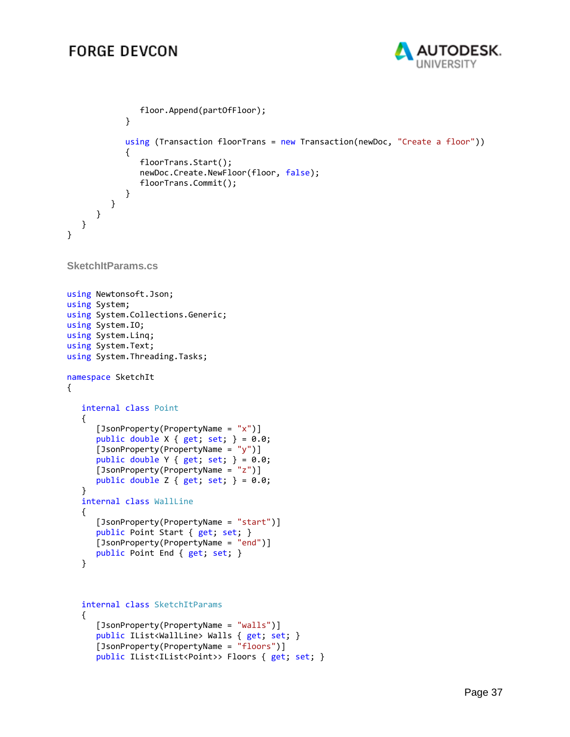

```
 floor.Append(partOfFloor);
 }
             using (Transaction floorTrans = new Transaction(newDoc, "Create a floor"))
\{ floorTrans.Start();
                newDoc.Create.NewFloor(floor, false);
                floorTrans.Commit();
 }
         }
      }
   }
}
SketchItParams.cs
using Newtonsoft.Json;
using System;
using System.Collections.Generic;
using System.IO;
using System.Linq;
using System.Text;
using System.Threading.Tasks;
namespace SketchIt
{
    internal class Point
    {
       [JsonProperty(PropertyName = "x")]
      public double X \{ get; set; } = 0.0; [JsonProperty(PropertyName = "y")]
     public double Y { get; set; } = 0.0;
      [JsonProperty(PropertyName = "z")]
     public double Z { get; set; } = 0.0;
    }
    internal class WallLine
    {
       [JsonProperty(PropertyName = "start")]
      public Point Start { get; set; }
       [JsonProperty(PropertyName = "end")]
      public Point End { get; set; }
    }
    internal class SketchItParams
    {
       [JsonProperty(PropertyName = "walls")]
      public IList<WallLine> Walls { get; set; }
       [JsonProperty(PropertyName = "floors")]
     public IList<IList<Point>> Floors { get; set; }
```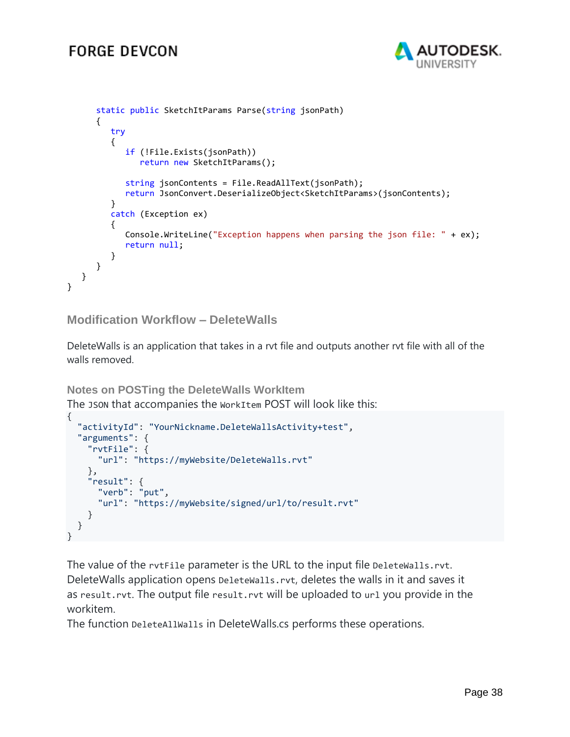

```
 static public SketchItParams Parse(string jsonPath)
       {
          try
          {
             if (!File.Exists(jsonPath))
                return new SketchItParams();
             string jsonContents = File.ReadAllText(jsonPath);
             return JsonConvert.DeserializeObject<SketchItParams>(jsonContents);
          }
          catch (Exception ex)
          {
             Console.WriteLine("Exception happens when parsing the json file: " + ex);
             return null;
          }
       }
    }
}
```
**Modification Workflow – DeleteWalls**

DeleteWalls is an application that takes in a rvt file and outputs another rvt file with all of the walls removed.

**Notes on POSTing the DeleteWalls WorkItem**

The JSON that accompanies the WorkItem POST will look like this:

```
{
  "activityId": "YourNickname.DeleteWallsActivity+test",
  "arguments": {
     "rvtFile": {
       "url": "https://myWebsite/DeleteWalls.rvt"
     },
     "result": {
       "verb": "put",
       "url": "https://myWebsite/signed/url/to/result.rvt"
     }
   }
}
```
The value of the rytFile parameter is the URL to the input file DeleteWalls.rvt. DeleteWalls application opens DeleteWalls.rvt, deletes the walls in it and saves it as result.rvt. The output file result.rvt will be uploaded to url you provide in the workitem.

The function DeleteAllWalls in DeleteWalls.cs performs these operations.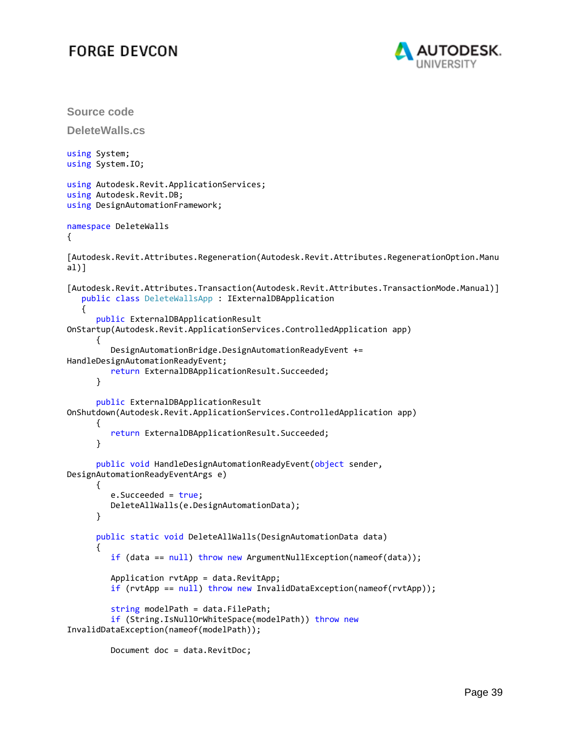

```
Source code
DeleteWalls.cs 
using System;
using System.IO;
using Autodesk.Revit.ApplicationServices;
using Autodesk.Revit.DB;
using DesignAutomationFramework;
namespace DeleteWalls
{
[Autodesk.Revit.Attributes.Regeneration(Autodesk.Revit.Attributes.RegenerationOption.Manu
al)]
[Autodesk.Revit.Attributes.Transaction(Autodesk.Revit.Attributes.TransactionMode.Manual)]
    public class DeleteWallsApp : IExternalDBApplication
    {
       public ExternalDBApplicationResult 
OnStartup(Autodesk.Revit.ApplicationServices.ControlledApplication app)
       {
          DesignAutomationBridge.DesignAutomationReadyEvent += 
HandleDesignAutomationReadyEvent;
          return ExternalDBApplicationResult.Succeeded;
       }
       public ExternalDBApplicationResult 
OnShutdown(Autodesk.Revit.ApplicationServices.ControlledApplication app)
       {
          return ExternalDBApplicationResult.Succeeded;
       }
       public void HandleDesignAutomationReadyEvent(object sender, 
DesignAutomationReadyEventArgs e)
       {
         e.Succeeded = true;
          DeleteAllWalls(e.DesignAutomationData);
       }
       public static void DeleteAllWalls(DesignAutomationData data)
       {
         if (data == null) throw new ArgumentNullException(nameof(data));
          Application rvtApp = data.RevitApp;
          if (rvtApp == null) throw new InvalidDataException(nameof(rvtApp));
          string modelPath = data.FilePath;
          if (String.IsNullOrWhiteSpace(modelPath)) throw new
InvalidDataException(nameof(modelPath));
```

```
 Document doc = data.RevitDoc;
```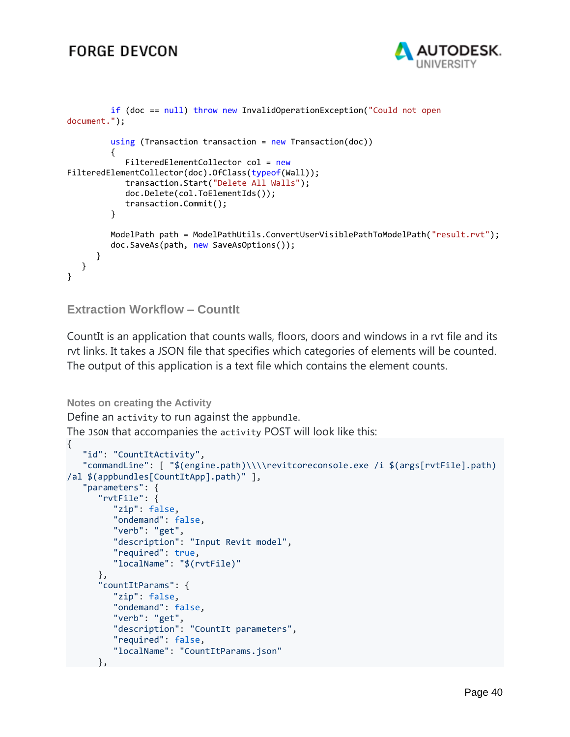

```
 if (doc == null) throw new InvalidOperationException("Could not open 
document.");
         using (Transaction transaction = new Transaction(doc))
          {
            FilteredElementCollector col = new
FilteredElementCollector(doc).OfClass(typeof(Wall));
             transaction.Start("Delete All Walls");
             doc.Delete(col.ToElementIds());
             transaction.Commit();
          }
          ModelPath path = ModelPathUtils.ConvertUserVisiblePathToModelPath("result.rvt");
          doc.SaveAs(path, new SaveAsOptions());
       }
   }
}
```

```
Extraction Workflow – CountIt
```
CountIt is an application that counts walls, floors, doors and windows in a rvt file and its rvt links. It takes a JSON file that specifies which categories of elements will be counted. The output of this application is a text file which contains the element counts.

```
Notes on creating the Activity
Define an activity to run against the appbundle.
The JSON that accompanies the activity POST will look like this:
{
    "id": "CountItActivity",
    "commandLine": [ "$(engine.path)\\\\revitcoreconsole.exe /i $(args[rvtFile].path) 
/al $(appbundles[CountItApp].path)" ],
    "parameters": {
       "rvtFile": {
          "zip": false,
          "ondemand": false,
          "verb": "get",
          "description": "Input Revit model",
          "required": true,
          "localName": "$(rvtFile)"
 },
 "countItParams": {
 "zip": false,
          "ondemand": false,
          "verb": "get",
          "description": "CountIt parameters",
          "required": false,
          "localName": "CountItParams.json"
       },
```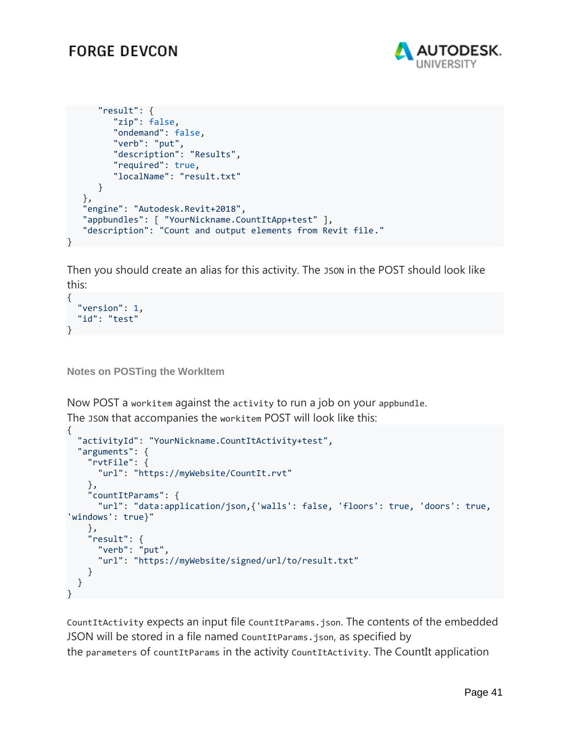

```
 "result": {
          "zip": false,
          "ondemand": false,
          "verb": "put",
          "description": "Results",
          "required": true,
          "localName": "result.txt"
       }
    },
    "engine": "Autodesk.Revit+2018",
    "appbundles": [ "YourNickname.CountItApp+test" ],
    "description": "Count and output elements from Revit file."
}
```
Then you should create an alias for this activity. The JSON in the POST should look like this:

```
{
  "version": 1,
  "id": "test"
}
```
**Notes on POSTing the WorkItem**

Now POST a workitem against the activity to run a job on your appbundle. The JSON that accompanies the workitem POST will look like this:

```
{
  "activityId": "YourNickname.CountItActivity+test",
  "arguments": {
     "rvtFile": {
      "url": "https://myWebsite/CountIt.rvt"
     },
     "countItParams": {
       "url": "data:application/json,{'walls': false, 'floors': true, 'doors': true, 
'windows': true}"
    },
     "result": {
       "verb": "put",
       "url": "https://myWebsite/signed/url/to/result.txt"
     }
  }
}
```
CountItActivity expects an input file CountItParams.json. The contents of the embedded JSON will be stored in a file named CountItParams.json, as specified by the parameters of countItParams in the activity CountItActivity. The CountIt application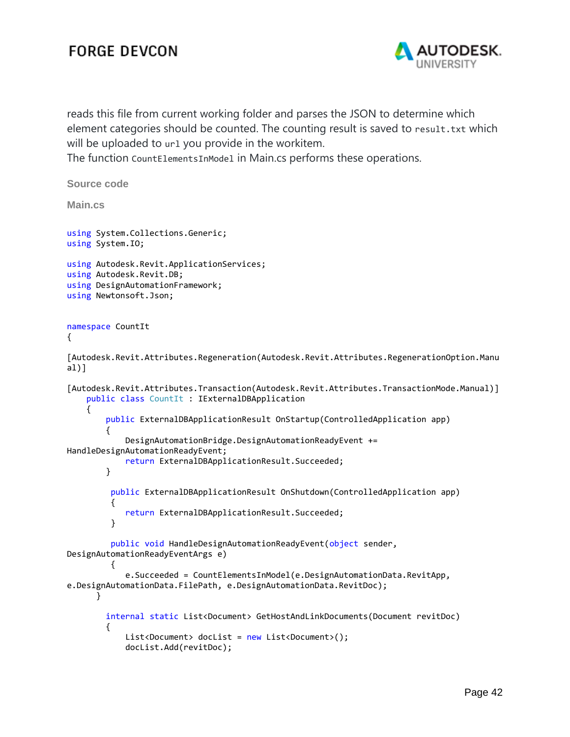

reads this file from current working folder and parses the JSON to determine which element categories should be counted. The counting result is saved to result.txt which will be uploaded to url you provide in the workitem.

The function CountElementsInModel in Main.cs performs these operations.

```
Source code
Main.cs
using System.Collections.Generic;
using System.IO;
using Autodesk.Revit.ApplicationServices;
using Autodesk.Revit.DB;
using DesignAutomationFramework;
using Newtonsoft.Json;
namespace CountIt
{
[Autodesk.Revit.Attributes.Regeneration(Autodesk.Revit.Attributes.RegenerationOption.Manu
al)]
[Autodesk.Revit.Attributes.Transaction(Autodesk.Revit.Attributes.TransactionMode.Manual)]
     public class CountIt : IExternalDBApplication
     {
         public ExternalDBApplicationResult OnStartup(ControlledApplication app)
\overline{\mathcal{L}} DesignAutomationBridge.DesignAutomationReadyEvent += 
HandleDesignAutomationReadyEvent;
             return ExternalDBApplicationResult.Succeeded;
         }
          public ExternalDBApplicationResult OnShutdown(ControlledApplication app)
\overline{\mathcal{L}} return ExternalDBApplicationResult.Succeeded;
          }
          public void HandleDesignAutomationReadyEvent(object sender, 
DesignAutomationReadyEventArgs e)
\{ \{ e.Succeeded = CountElementsInModel(e.DesignAutomationData.RevitApp, 
e.DesignAutomationData.FilePath, e.DesignAutomationData.RevitDoc);
       }
         internal static List<Document> GetHostAndLinkDocuments(Document revitDoc)
         {
             List<Document> docList = new List<Document>();
             docList.Add(revitDoc);
```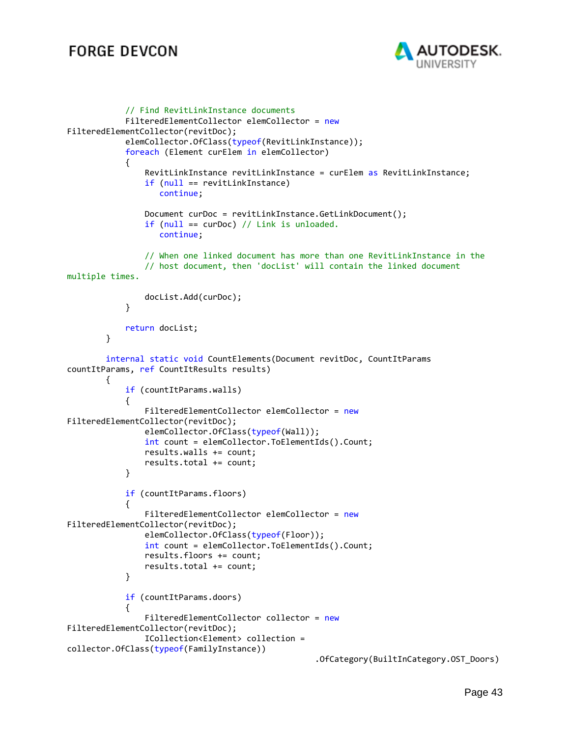

```
 // Find RevitLinkInstance documents
           FilteredElementCollector elemCollector = new
FilteredElementCollector(revitDoc);
           elemCollector.OfClass(typeof(RevitLinkInstance));
            foreach (Element curElem in elemCollector)
\{RevitLinkInstance revitLinkInstance = curElem as RevitLinkInstance;
                if (null == revitLinkInstance)
                   continue;
                Document curDoc = revitLinkInstance.GetLinkDocument();
                if (null == curDoc) // Link is unloaded.
                   continue;
                // When one linked document has more than one RevitLinkInstance in the
                // host document, then 'docList' will contain the linked document 
multiple times.
                docList.Add(curDoc);
 }
            return docList;
        }
        internal static void CountElements(Document revitDoc, CountItParams 
countItParams, ref CountItResults results)
        {
            if (countItParams.walls)
\{ FilteredElementCollector elemCollector = new
FilteredElementCollector(revitDoc);
               elemCollector.OfClass(typeof(Wall));
                int count = elemCollector.ToElementIds().Count;
                results.walls += count;
                results.total += count;
 }
           if (countItParams.floors)
\{ FilteredElementCollector elemCollector = new
FilteredElementCollector(revitDoc);
               elemCollector.OfClass(typeof(Floor));
                int count = elemCollector.ToElementIds().Count;
                results.floors += count;
                results.total += count;
 }
            if (countItParams.doors)
\{FilteredElementCollector collector = new
FilteredElementCollector(revitDoc);
                ICollection<Element> collection = 
collector.OfClass(typeof(FamilyInstance))
                                                   .OfCategory(BuiltInCategory.OST_Doors)
```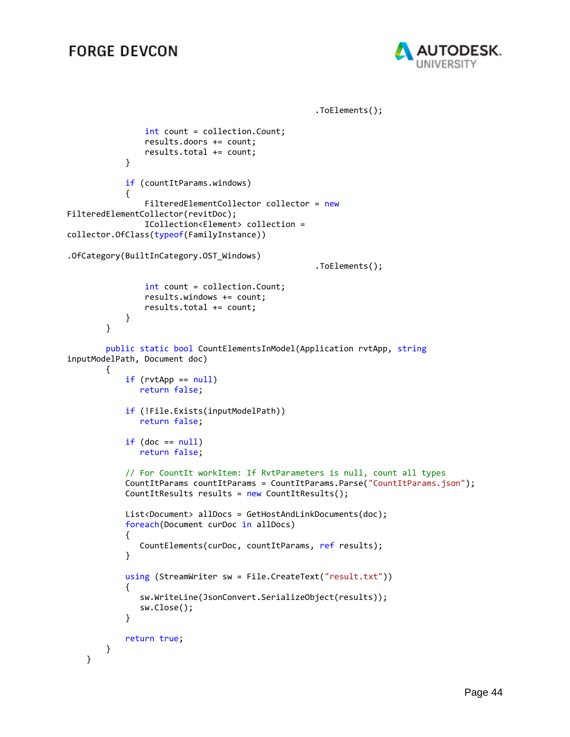

```
 .ToElements();
                int count = collection.Count;
                 results.doors += count;
                results.total += count;
 }
            if (countItParams.windows)
\{FilteredElementCollector collector = new
FilteredElementCollector(revitDoc);
                ICollection<Element> collection = 
collector.OfClass(typeof(FamilyInstance))
.OfCategory(BuiltInCategory.OST_Windows)
                                                   .ToElements();
                 int count = collection.Count;
                results.windows += count;
                results.total += count;
            }
         }
         public static bool CountElementsInModel(Application rvtApp, string
inputModelPath, Document doc)
         {
            if (rvtApp == null) return false;
            if (!File.Exists(inputModelPath))
               return false;
            if (doc == null) return false;
             // For CountIt workItem: If RvtParameters is null, count all types
             CountItParams countItParams = CountItParams.Parse("CountItParams.json");
             CountItResults results = new CountItResults();
            List<Document> allDocs = GetHostAndLinkDocuments(doc);
            foreach(Document curDoc in allDocs)
            {
                CountElements(curDoc, countItParams, ref results);
 }
             using (StreamWriter sw = File.CreateText("result.txt"))
\{ sw.WriteLine(JsonConvert.SerializeObject(results));
               sw.Close();
 }
            return true;
        } 
    }
```